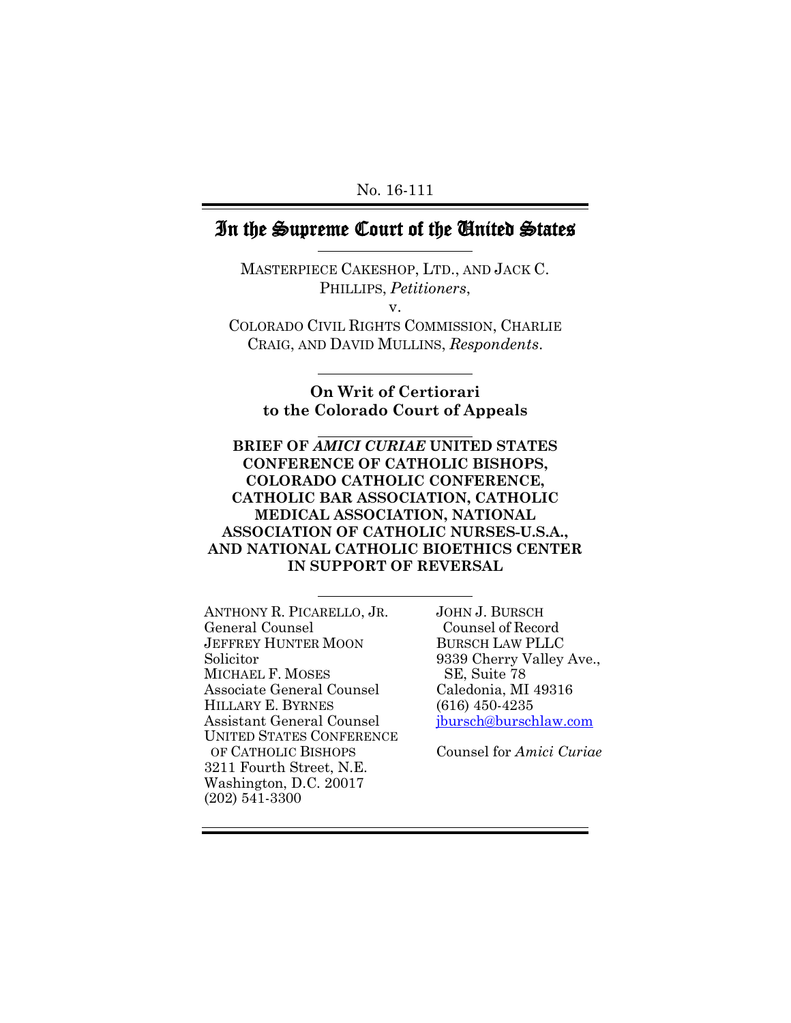No. 16-111

### In the Supreme Court of the United States

MASTERPIECE CAKESHOP, LTD., AND JACK C. PHILLIPS, *Petitioners*, v. COLORADO CIVIL RIGHTS COMMISSION, CHARLIE CRAIG, AND DAVID MULLINS, *Respondents*.

**On Writ of Certiorari to the Colorado Court of Appeals**

**BRIEF OF** *AMICI CURIAE* **UNITED STATES CONFERENCE OF CATHOLIC BISHOPS, COLORADO CATHOLIC CONFERENCE, CATHOLIC BAR ASSOCIATION, CATHOLIC MEDICAL ASSOCIATION, NATIONAL ASSOCIATION OF CATHOLIC NURSES-U.S.A., AND NATIONAL CATHOLIC BIOETHICS CENTER IN SUPPORT OF REVERSAL**

ANTHONY R. PICARELLO, JR. General Counsel JEFFREY HUNTER MOON Solicitor MICHAEL F. MOSES Associate General Counsel HILLARY E. BYRNES Assistant General Counsel UNITED STATES CONFERENCE OF CATHOLIC BISHOPS 3211 Fourth Street, N.E. Washington, D.C. 20017 (202) 541-3300

JOHN J. BURSCH Counsel of Record BURSCH LAW PLLC 9339 Cherry Valley Ave., SE, Suite 78 Caledonia, MI 49316 (616) 450-4235 [jbursch@burschlaw.com](mailto:jbursch@burschlaw.com)

Counsel for *Amici Curiae*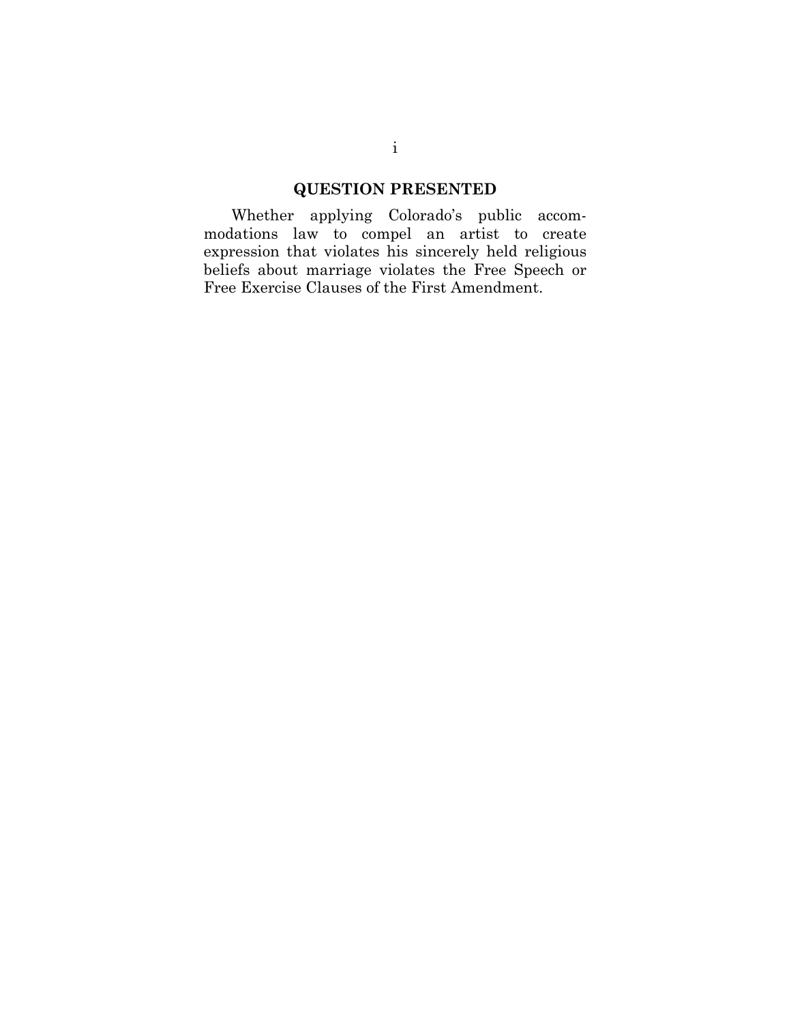## **QUESTION PRESENTED**

Whether applying Colorado's public accommodations law to compel an artist to create expression that violates his sincerely held religious beliefs about marriage violates the Free Speech or Free Exercise Clauses of the First Amendment.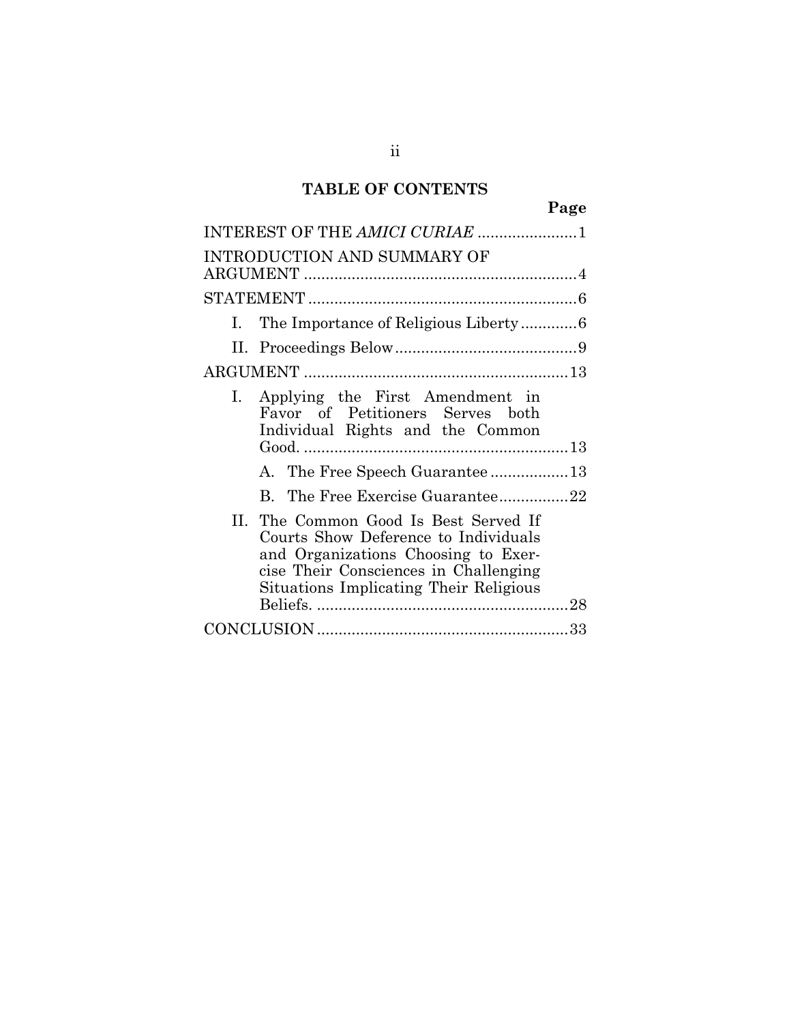## **TABLE OF CONTENTS**

|                                                                                                                                                                                                         | Page |
|---------------------------------------------------------------------------------------------------------------------------------------------------------------------------------------------------------|------|
| INTEREST OF THE AMICI CURIAE 1                                                                                                                                                                          |      |
| INTRODUCTION AND SUMMARY OF                                                                                                                                                                             |      |
|                                                                                                                                                                                                         |      |
| $\mathbf{L}$                                                                                                                                                                                            |      |
|                                                                                                                                                                                                         |      |
|                                                                                                                                                                                                         |      |
| I. Applying the First Amendment in<br>Favor of Petitioners Serves both<br>Individual Rights and the Common                                                                                              |      |
| A. The Free Speech Guarantee 13                                                                                                                                                                         |      |
| B. The Free Exercise Guarantee22                                                                                                                                                                        |      |
| II. The Common Good Is Best Served If<br>Courts Show Deference to Individuals<br>and Organizations Choosing to Exer-<br>cise Their Consciences in Challenging<br>Situations Implicating Their Religious |      |
|                                                                                                                                                                                                         |      |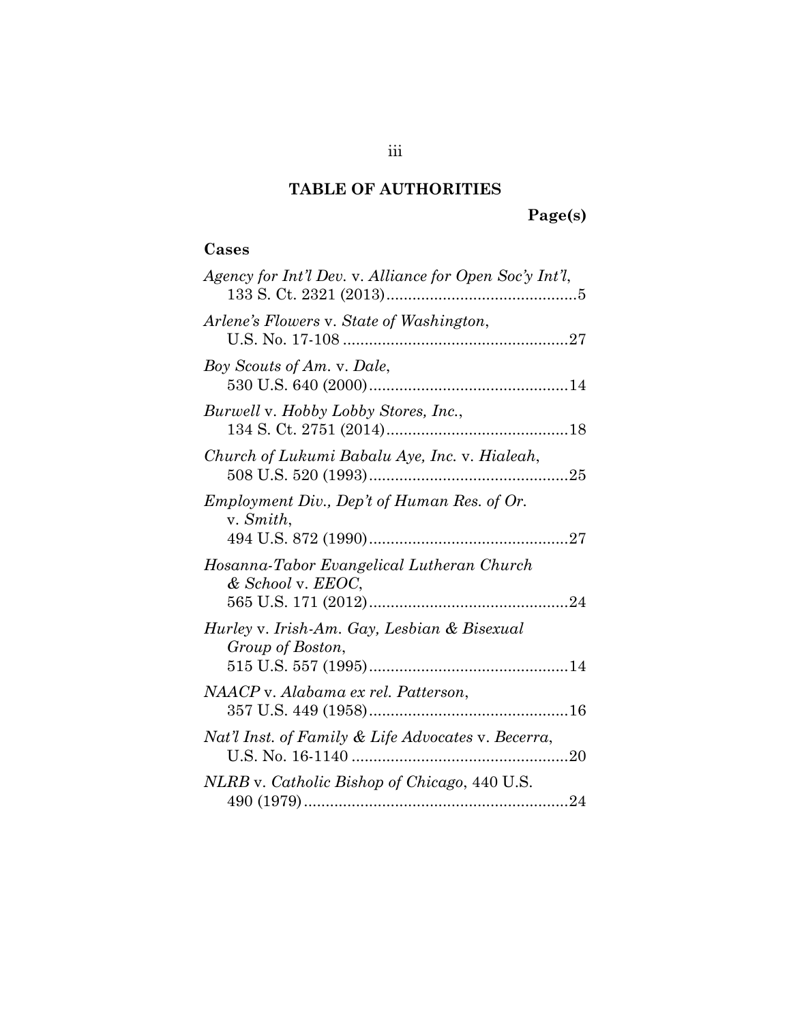## **TABLE OF AUTHORITIES**

# **Page(s)**

### **Cases**

| Agency for Int'l Dev. v. Alliance for Open Soc'y Int'l,         |
|-----------------------------------------------------------------|
| Arlene's Flowers v. State of Washington,                        |
| Boy Scouts of Am. v. Dale,                                      |
| Burwell v. Hobby Lobby Stores, Inc.,                            |
| Church of Lukumi Babalu Aye, Inc. v. Hialeah,                   |
| Employment Div., Dep't of Human Res. of Or.<br>v. Smith,        |
| Hosanna-Tabor Evangelical Lutheran Church<br>& School v. EEOC,  |
| Hurley v. Irish-Am. Gay, Lesbian & Bisexual<br>Group of Boston, |
| NAACP v. Alabama ex rel. Patterson,                             |
| Nat'l Inst. of Family & Life Advocates v. Becerra,              |
| NLRB v. Catholic Bishop of Chicago, 440 U.S.                    |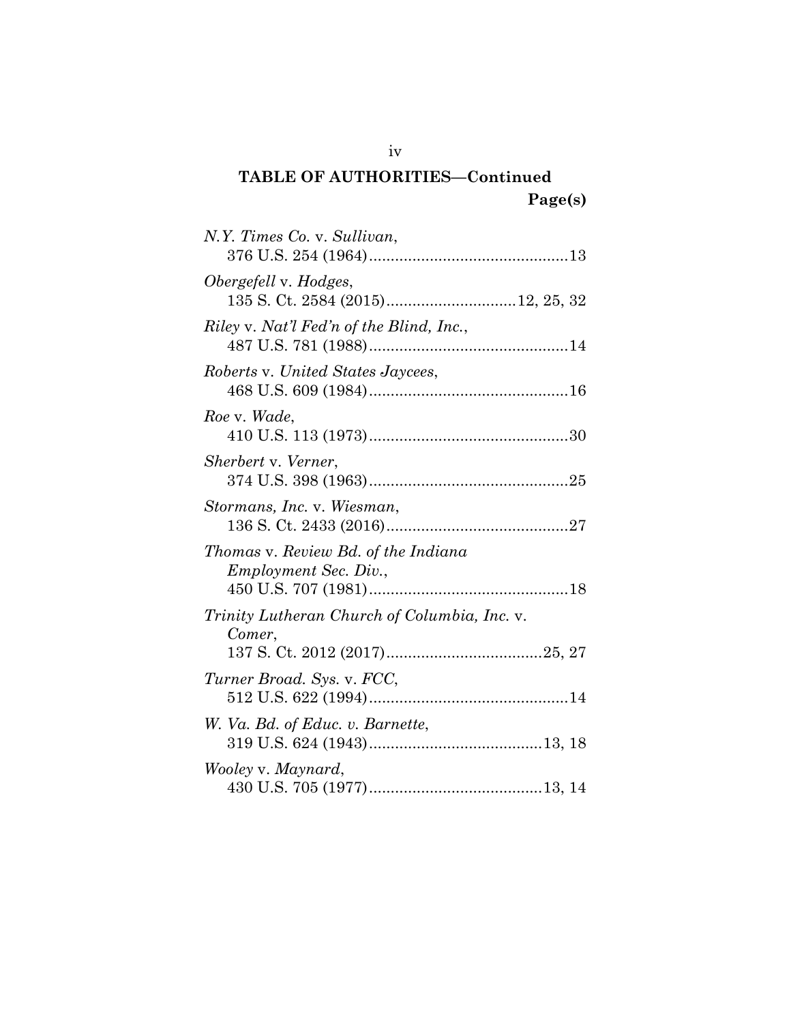| N.Y. Times Co. v. Sullivan,                                         |
|---------------------------------------------------------------------|
| Obergefell v. Hodges,                                               |
| Riley v. Nat'l Fed'n of the Blind, Inc.,                            |
| Roberts v. United States Jaycees,                                   |
| Roe v. Wade,                                                        |
| Sherbert v. Verner,                                                 |
| Stormans, Inc. v. Wiesman,                                          |
| Thomas v. Review Bd. of the Indiana<br><i>Employment Sec. Div.,</i> |
| Trinity Lutheran Church of Columbia, Inc. v.<br>Comer,              |
| Turner Broad. Sys. v. FCC,                                          |
| W. Va. Bd. of Educ. v. Barnette,                                    |
| Wooley v. Maynard,                                                  |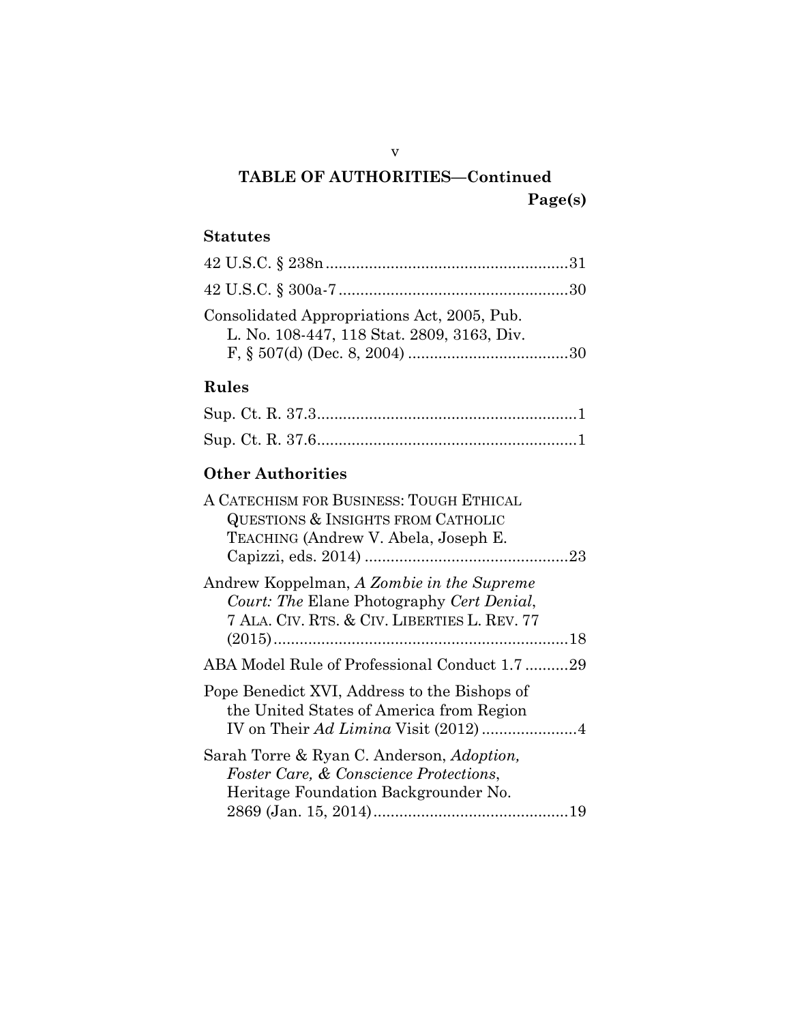## **Statutes**

| Consolidated Appropriations Act, 2005, Pub. |  |
|---------------------------------------------|--|
| L. No. 108-447, 118 Stat. 2809, 3163, Div.  |  |

### **Rules**

## **Other Authorities**

| A CATECHISM FOR BUSINESS: TOUGH ETHICAL<br>QUESTIONS & INSIGHTS FROM CATHOLIC<br>TEACHING (Andrew V. Abela, Joseph E.                  |
|----------------------------------------------------------------------------------------------------------------------------------------|
| Andrew Koppelman, A Zombie in the Supreme<br>Court: The Elane Photography Cert Denial,<br>7 ALA. CIV. RTS. & CIV. LIBERTIES L. REV. 77 |
| ABA Model Rule of Professional Conduct 1.7 29                                                                                          |
| Pope Benedict XVI, Address to the Bishops of<br>the United States of America from Region                                               |
| Sarah Torre & Ryan C. Anderson, Adoption,<br><i>Foster Care, &amp; Conscience Protections,</i><br>Heritage Foundation Backgrounder No. |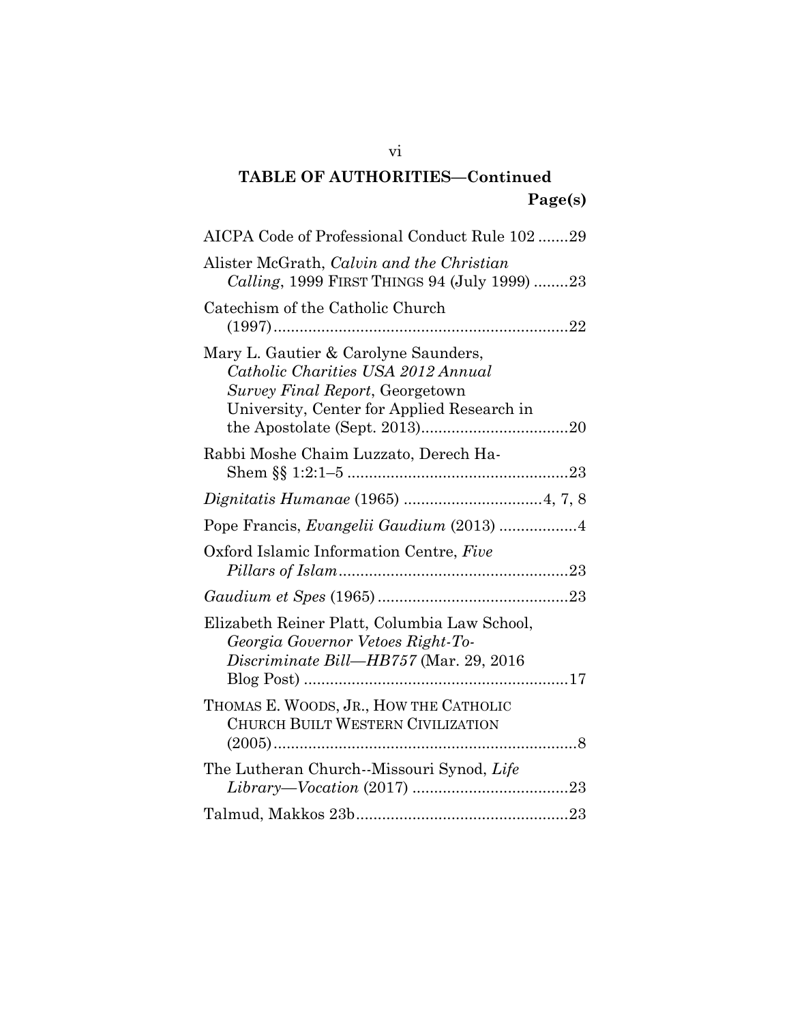| AICPA Code of Professional Conduct Rule 102 29                                                                                                              |  |
|-------------------------------------------------------------------------------------------------------------------------------------------------------------|--|
| Alister McGrath, Calvin and the Christian<br>Calling, 1999 FIRST THINGS 94 (July 1999) 23                                                                   |  |
| Catechism of the Catholic Church                                                                                                                            |  |
| Mary L. Gautier & Carolyne Saunders,<br>Catholic Charities USA 2012 Annual<br>Survey Final Report, Georgetown<br>University, Center for Applied Research in |  |
| Rabbi Moshe Chaim Luzzato, Derech Ha-                                                                                                                       |  |
|                                                                                                                                                             |  |
| Pope Francis, Evangelii Gaudium (2013) 4                                                                                                                    |  |
| Oxford Islamic Information Centre, Five                                                                                                                     |  |
|                                                                                                                                                             |  |
| Elizabeth Reiner Platt, Columbia Law School,<br>Georgia Governor Vetoes Right-To-<br>Discriminate Bill-HB757 (Mar. 29, 2016                                 |  |
| THOMAS E. WOODS, JR., HOW THE CATHOLIC<br>CHURCH BUILT WESTERN CIVILIZATION                                                                                 |  |
| The Lutheran Church--Missouri Synod, Life                                                                                                                   |  |
|                                                                                                                                                             |  |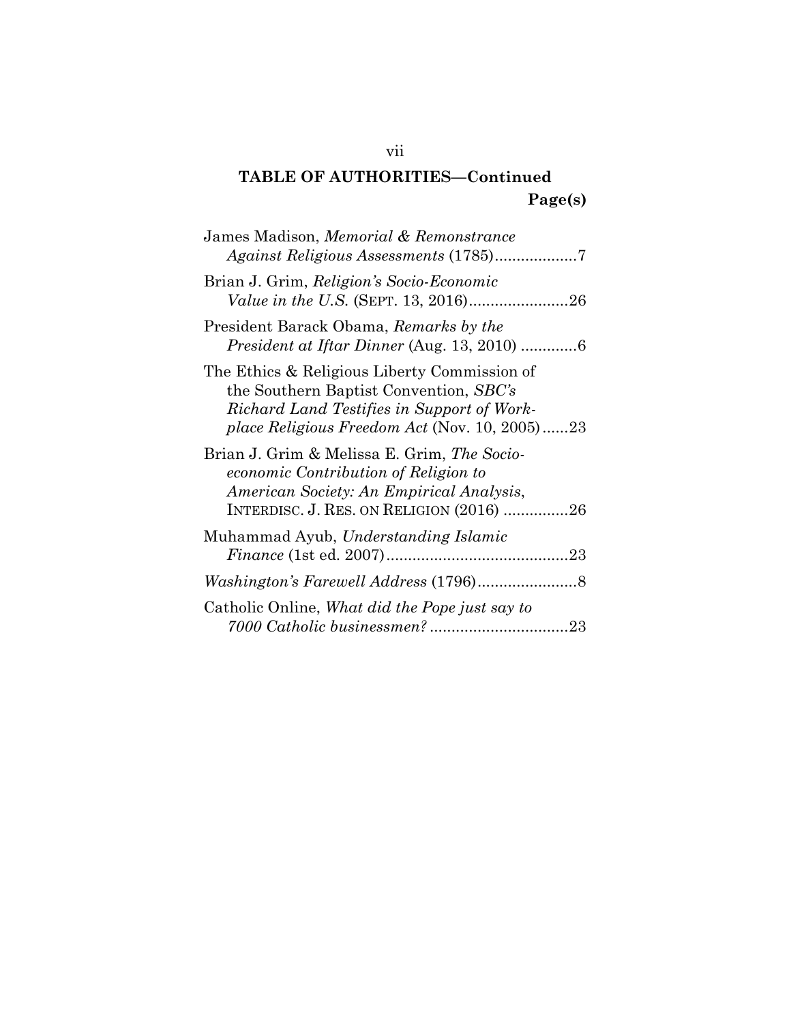| James Madison, Memorial & Remonstrance                                                                                                                                                |
|---------------------------------------------------------------------------------------------------------------------------------------------------------------------------------------|
| Brian J. Grim, Religion's Socio-Economic                                                                                                                                              |
| President Barack Obama, Remarks by the<br>President at Iftar Dinner (Aug. 13, 2010) 6                                                                                                 |
| The Ethics & Religious Liberty Commission of<br>the Southern Baptist Convention, SBC's<br>Richard Land Testifies in Support of Work-<br>place Religious Freedom Act (Nov. 10, 2005)23 |
| Brian J. Grim & Melissa E. Grim, The Socio-<br>economic Contribution of Religion to<br>American Society: An Empirical Analysis,<br>INTERDISC. J. RES. ON RELIGION (2016) 26           |
| Muhammad Ayub, Understanding Islamic                                                                                                                                                  |
|                                                                                                                                                                                       |
| Catholic Online, What did the Pope just say to                                                                                                                                        |

vii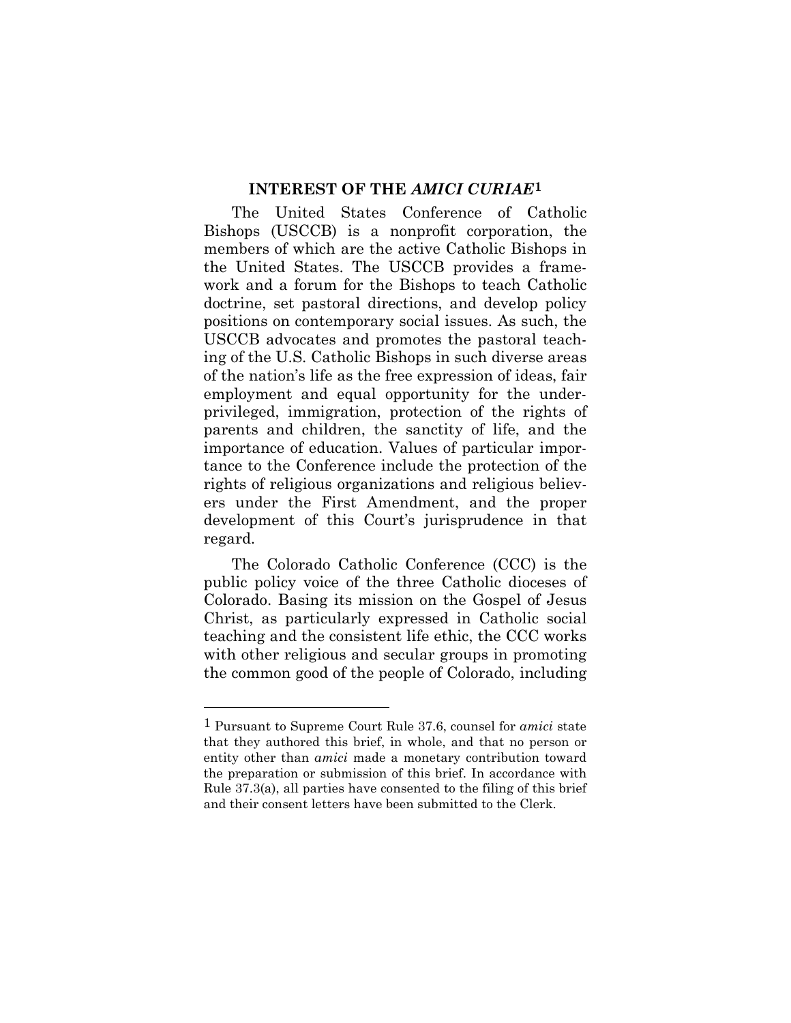### **INTEREST OF THE** *AMICI CURIAE***[1](#page-8-1)**

<span id="page-8-0"></span>The United States Conference of Catholic Bishops (USCCB) is a nonprofit corporation, the members of which are the active Catholic Bishops in the United States. The USCCB provides a framework and a forum for the Bishops to teach Catholic doctrine, set pastoral directions, and develop policy positions on contemporary social issues. As such, the USCCB advocates and promotes the pastoral teaching of the U.S. Catholic Bishops in such diverse areas of the nation's life as the free expression of ideas, fair employment and equal opportunity for the underprivileged, immigration, protection of the rights of parents and children, the sanctity of life, and the importance of education. Values of particular importance to the Conference include the protection of the rights of religious organizations and religious believers under the First Amendment, and the proper development of this Court's jurisprudence in that regard.

The Colorado Catholic Conference (CCC) is the public policy voice of the three Catholic dioceses of Colorado. Basing its mission on the Gospel of Jesus Christ, as particularly expressed in Catholic social teaching and the consistent life ethic, the CCC works with other religious and secular groups in promoting the common good of the people of Colorado, including

<span id="page-8-1"></span><sup>1</sup> Pursuant to Supreme Court Rule 37.6, counsel for *amici* state that they authored this brief, in whole, and that no person or entity other than *amici* made a monetary contribution toward the preparation or submission of this brief. In accordance with Rule 37.3(a), all parties have consented to the filing of this brief and their consent letters have been submitted to the Clerk.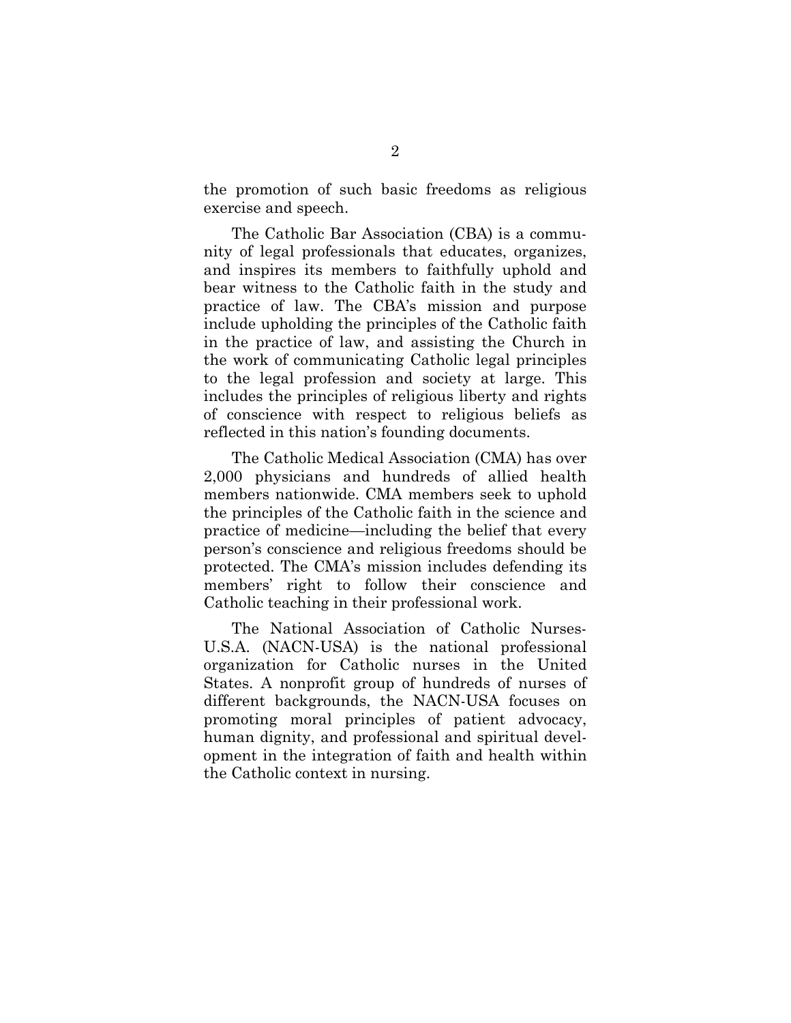the promotion of such basic freedoms as religious exercise and speech.

The Catholic Bar Association (CBA) is a community of legal professionals that educates, organizes, and inspires its members to faithfully uphold and bear witness to the Catholic faith in the study and practice of law. The CBA's mission and purpose include upholding the principles of the Catholic faith in the practice of law, and assisting the Church in the work of communicating Catholic legal principles to the legal profession and society at large. This includes the principles of religious liberty and rights of conscience with respect to religious beliefs as reflected in this nation's founding documents.

The Catholic Medical Association (CMA) has over 2,000 physicians and hundreds of allied health members nationwide. CMA members seek to uphold the principles of the Catholic faith in the science and practice of medicine—including the belief that every person's conscience and religious freedoms should be protected. The CMA's mission includes defending its members' right to follow their conscience and Catholic teaching in their professional work.

The National Association of Catholic Nurses-U.S.A. (NACN-USA) is the national professional organization for Catholic nurses in the United States. A nonprofit group of hundreds of nurses of different backgrounds, the NACN-USA focuses on promoting moral principles of patient advocacy, human dignity, and professional and spiritual development in the integration of faith and health within the Catholic context in nursing.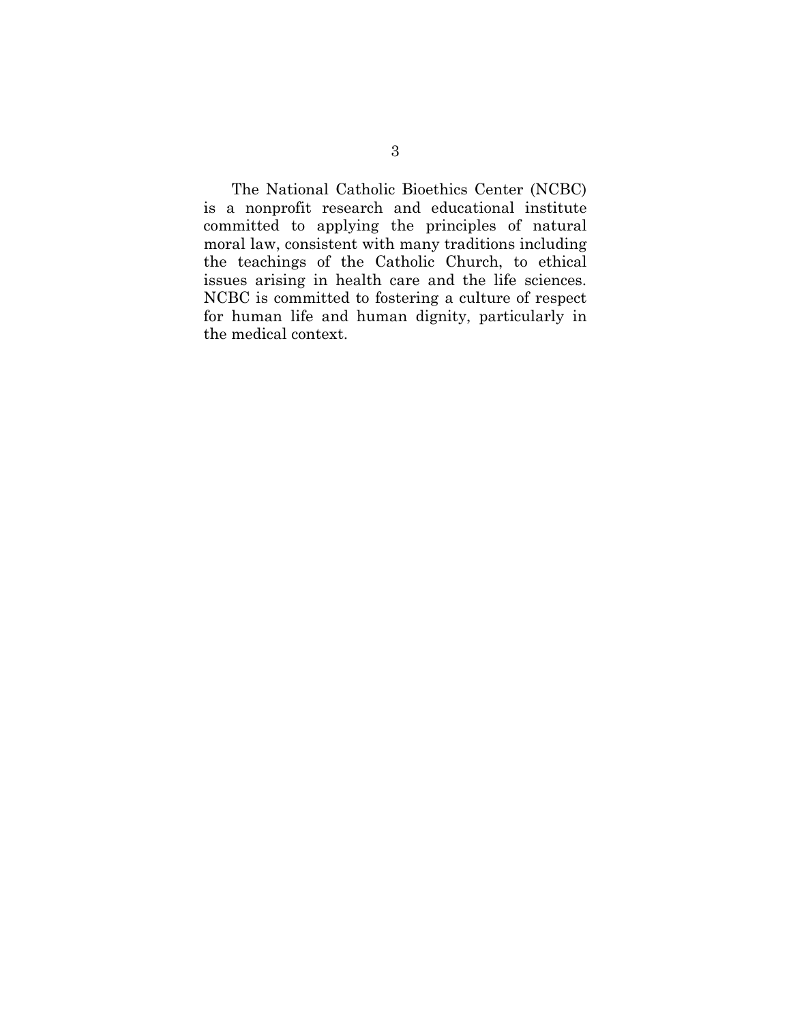The National Catholic Bioethics Center (NCBC) is a nonprofit research and educational institute committed to applying the principles of natural moral law, consistent with many traditions including the teachings of the Catholic Church, to ethical issues arising in health care and the life sciences. NCBC is committed to fostering a culture of respect for human life and human dignity, particularly in the medical context.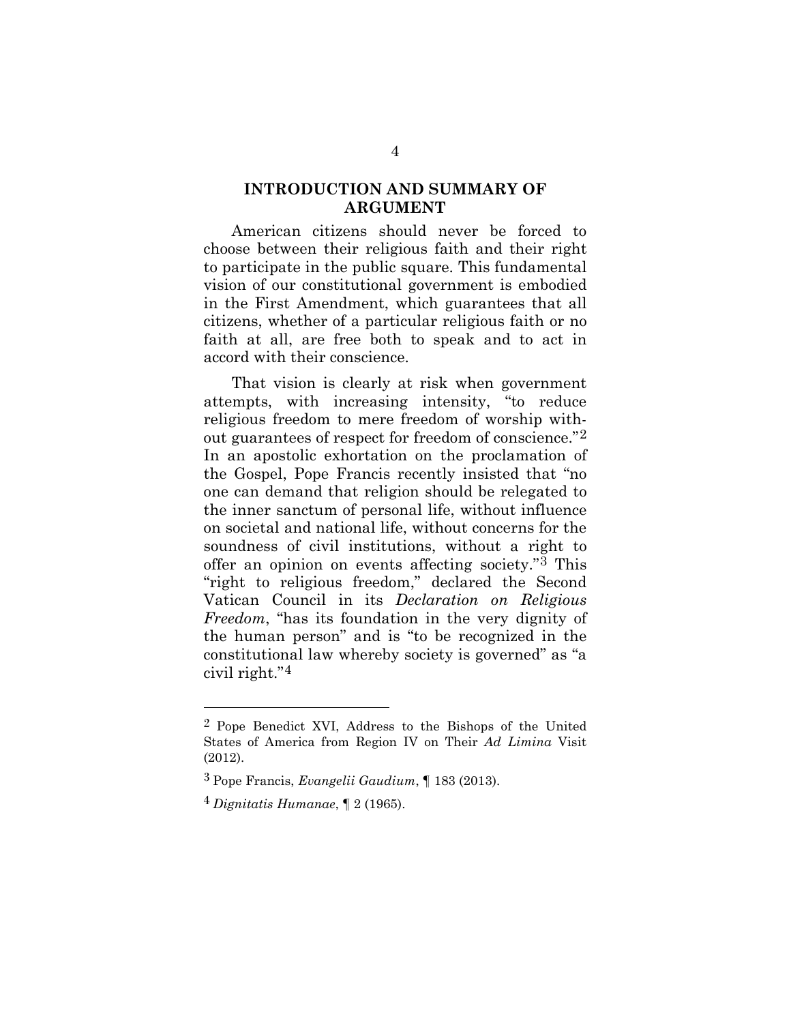### <span id="page-11-0"></span>**INTRODUCTION AND SUMMARY OF ARGUMENT**

American citizens should never be forced to choose between their religious faith and their right to participate in the public square. This fundamental vision of our constitutional government is embodied in the First Amendment, which guarantees that all citizens, whether of a particular religious faith or no faith at all, are free both to speak and to act in accord with their conscience.

That vision is clearly at risk when government attempts, with increasing intensity, "to reduce religious freedom to mere freedom of worship without guarantees of respect for freedom of conscience."[2](#page-11-1) In an apostolic exhortation on the proclamation of the Gospel, Pope Francis recently insisted that "no one can demand that religion should be relegated to the inner sanctum of personal life, without influence on societal and national life, without concerns for the soundness of civil institutions, without a right to offer an opinion on events affecting society."[3](#page-11-2) This "right to religious freedom," declared the Second Vatican Council in its *Declaration on Religious Freedom*, "has its foundation in the very dignity of the human person" and is "to be recognized in the constitutional law whereby society is governed" as "a civil right."[4](#page-12-0)

<span id="page-11-1"></span><sup>2</sup> Pope Benedict XVI, Address to the Bishops of the United States of America from Region IV on Their *Ad Limina* Visit (2012).

<span id="page-11-2"></span><sup>3</sup> Pope Francis, *Evangelii Gaudium*, ¶ 183 (2013).

<sup>4</sup> *Dignitatis Humanae*, ¶ 2 (1965).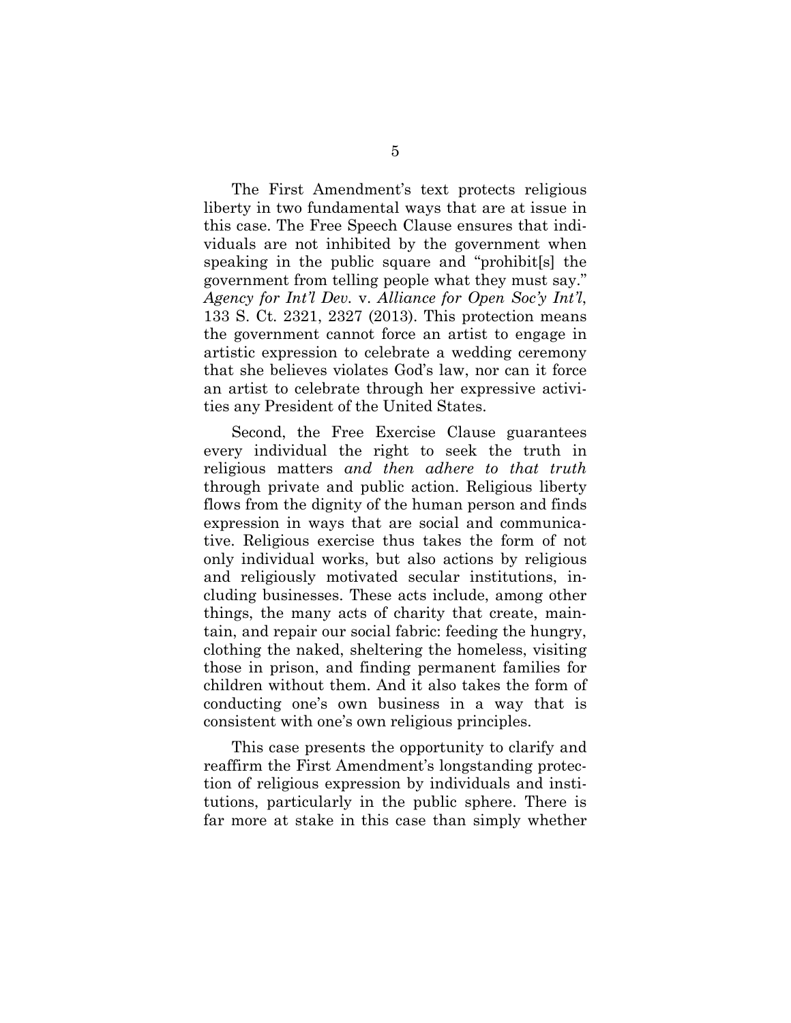The First Amendment's text protects religious liberty in two fundamental ways that are at issue in this case. The Free Speech Clause ensures that individuals are not inhibited by the government when speaking in the public square and "prohibit[s] the government from telling people what they must say." *Agency for Int'l Dev.* v. *Alliance for Open Soc'y Int'l*, 133 S. Ct. 2321, 2327 (2013). This protection means the government cannot force an artist to engage in artistic expression to celebrate a wedding ceremony that she believes violates God's law, nor can it force an artist to celebrate through her expressive activities any President of the United States.

Second, the Free Exercise Clause guarantees every individual the right to seek the truth in religious matters *and then adhere to that truth* through private and public action. Religious liberty flows from the dignity of the human person and finds expression in ways that are social and communicative. Religious exercise thus takes the form of not only individual works, but also actions by religious and religiously motivated secular institutions, including businesses. These acts include, among other things, the many acts of charity that create, maintain, and repair our social fabric: feeding the hungry, clothing the naked, sheltering the homeless, visiting those in prison, and finding permanent families for children without them. And it also takes the form of conducting one's own business in a way that is consistent with one's own religious principles.

<span id="page-12-0"></span>This case presents the opportunity to clarify and reaffirm the First Amendment's longstanding protection of religious expression by individuals and institutions, particularly in the public sphere. There is far more at stake in this case than simply whether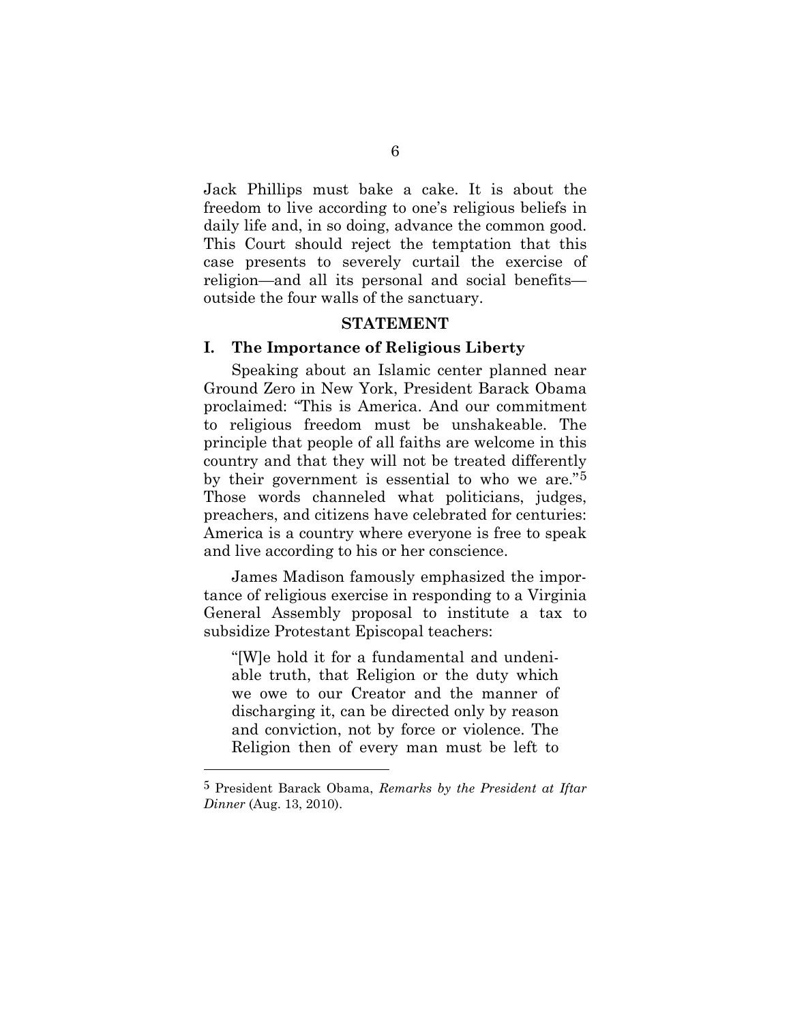Jack Phillips must bake a cake. It is about the freedom to live according to one's religious beliefs in daily life and, in so doing, advance the common good. This Court should reject the temptation that this case presents to severely curtail the exercise of religion—and all its personal and social benefits outside the four walls of the sanctuary.

#### **STATEMENT**

### <span id="page-13-1"></span><span id="page-13-0"></span>**I. The Importance of Religious Liberty**

Speaking about an Islamic center planned near Ground Zero in New York, President Barack Obama proclaimed: "This is America. And our commitment to religious freedom must be unshakeable. The principle that people of all faiths are welcome in this country and that they will not be treated differently by their government is essential to who we are."[5](#page-13-2) Those words channeled what politicians, judges, preachers, and citizens have celebrated for centuries: America is a country where everyone is free to speak and live according to his or her conscience.

James Madison famously emphasized the importance of religious exercise in responding to a Virginia General Assembly proposal to institute a tax to subsidize Protestant Episcopal teachers:

"[W]e hold it for a fundamental and undeniable truth, that Religion or the duty which we owe to our Creator and the manner of discharging it, can be directed only by reason and conviction, not by force or violence. The Religion then of every man must be left to

<span id="page-13-2"></span><sup>5</sup> President Barack Obama, *Remarks by the President at Iftar Dinner* (Aug. 13, 2010).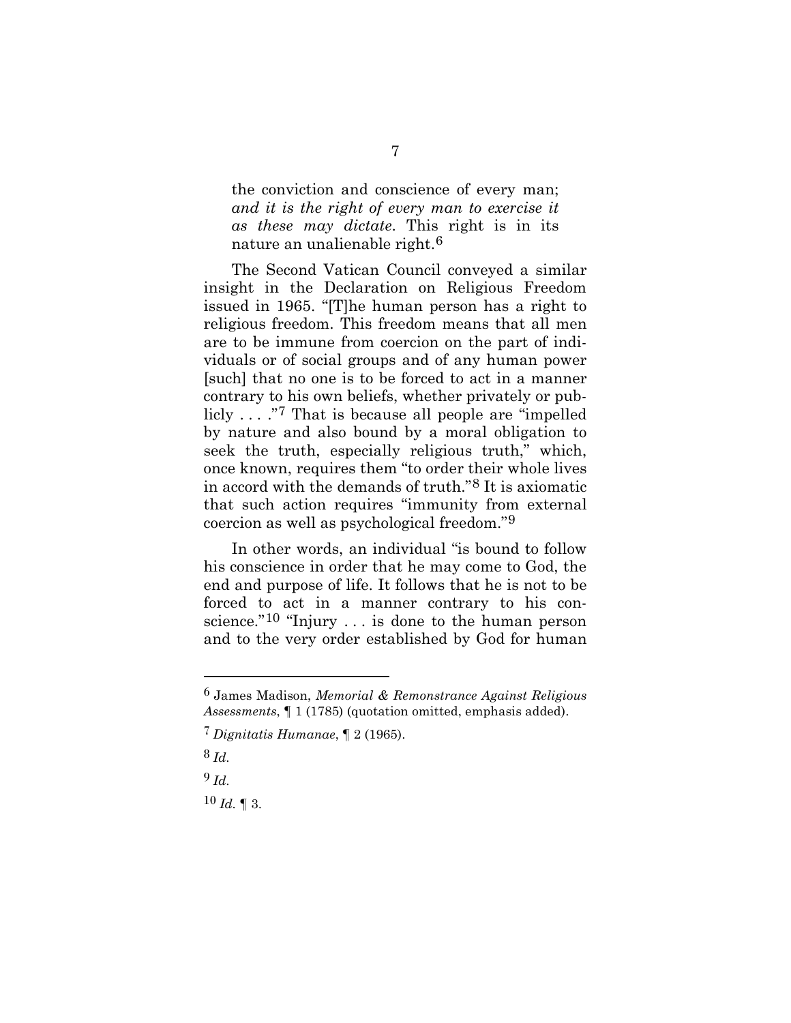the conviction and conscience of every man; *and it is the right of every man to exercise it as these may dictate*. This right is in its nature an unalienable right.<sup>[6](#page-14-0)</sup>

The Second Vatican Council conveyed a similar insight in the Declaration on Religious Freedom issued in 1965. "[T]he human person has a right to religious freedom. This freedom means that all men are to be immune from coercion on the part of individuals or of social groups and of any human power [such] that no one is to be forced to act in a manner contrary to his own beliefs, whether privately or publicly . . . ."[7](#page-14-1) That is because all people are "impelled by nature and also bound by a moral obligation to seek the truth, especially religious truth," which, once known, requires them "to order their whole lives in accord with the demands of truth."[8](#page-15-0) It is axiomatic that such action requires "immunity from external coercion as well as psychological freedom."[9](#page-15-1)

In other words, an individual "is bound to follow his conscience in order that he may come to God, the end and purpose of life. It follows that he is not to be forced to act in a manner contrary to his conscience."[10](#page-15-2) "Injury . . . is done to the human person and to the very order established by God for human

8 *Id.*

l

9 *Id.*

<span id="page-14-1"></span> $10$  *Id.* 1 3.

<sup>6</sup> James Madison, *Memorial & Remonstrance Against Religious Assessments*, ¶ 1 (1785) (quotation omitted, emphasis added).

<span id="page-14-0"></span><sup>7</sup> *Dignitatis Humanae*, ¶ 2 (1965).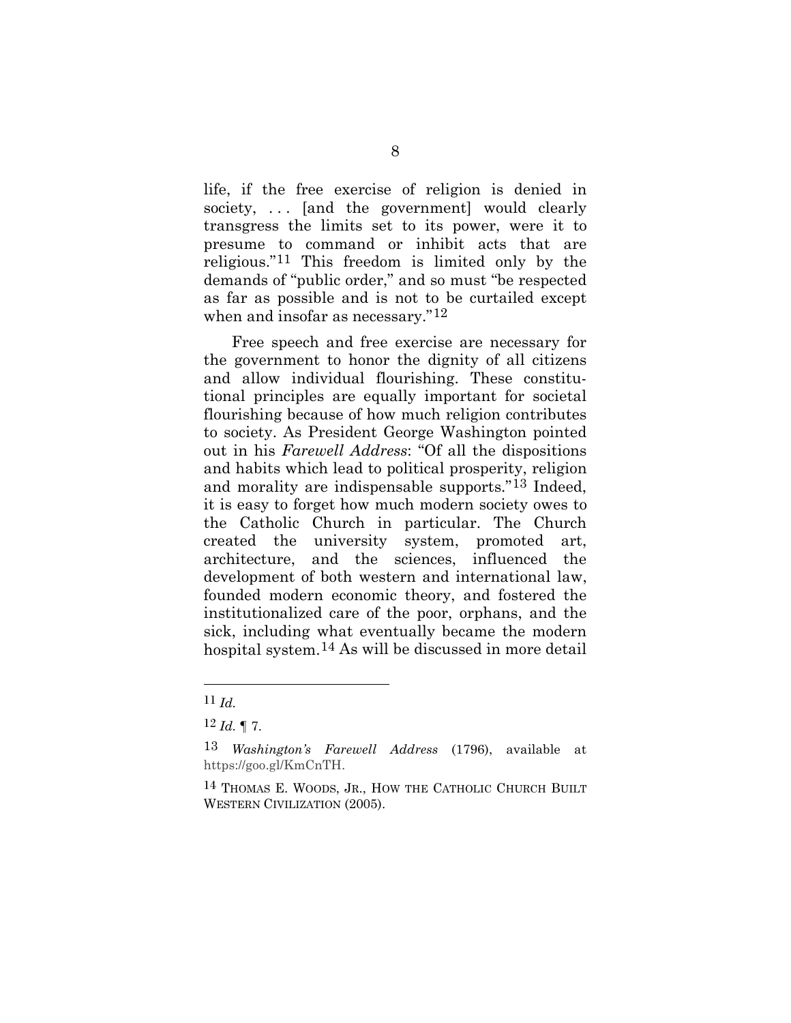life, if the free exercise of religion is denied in society, ... [and the government] would clearly transgress the limits set to its power, were it to presume to command or inhibit acts that are religious."[11](#page-15-3) This freedom is limited only by the demands of "public order," and so must "be respected as far as possible and is not to be curtailed except when and insofar as necessary."<sup>[12](#page-15-4)</sup>

Free speech and free exercise are necessary for the government to honor the dignity of all citizens and allow individual flourishing. These constitutional principles are equally important for societal flourishing because of how much religion contributes to society. As President George Washington pointed out in his *Farewell Address*: "Of all the dispositions and habits which lead to political prosperity, religion and morality are indispensable supports."[13](#page-16-1) Indeed, it is easy to forget how much modern society owes to the Catholic Church in particular. The Church created the university system, promoted art, architecture, and the sciences, influenced the development of both western and international law, founded modern economic theory, and fostered the institutionalized care of the poor, orphans, and the sick, including what eventually became the modern hospital system[.14](#page-16-2) As will be discussed in more detail

<sup>11</sup> *Id.*

<span id="page-15-1"></span><span id="page-15-0"></span> $12$  *Id.* ¶ 7.

<span id="page-15-2"></span><sup>13</sup> *Washington's Farewell Address* (1796), available at https://goo.gl/KmCnTH.

<span id="page-15-4"></span><span id="page-15-3"></span><sup>14</sup> THOMAS E. WOODS, JR., HOW THE CATHOLIC CHURCH BUILT WESTERN CIVILIZATION (2005).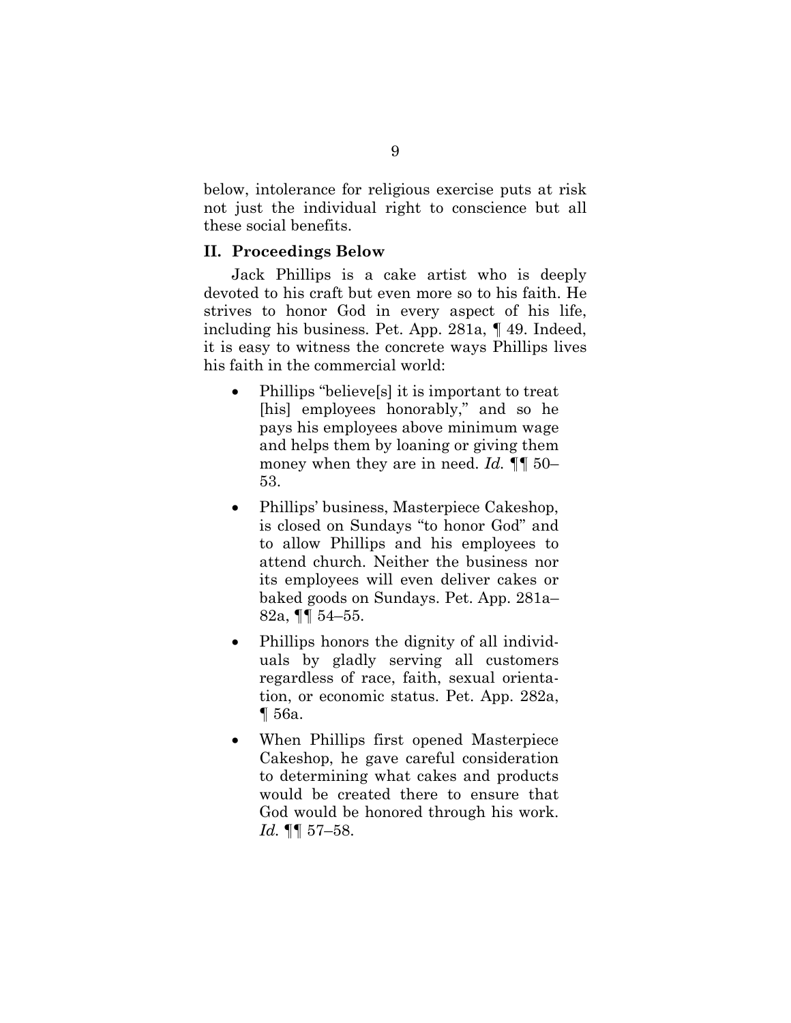below, intolerance for religious exercise puts at risk not just the individual right to conscience but all these social benefits.

#### <span id="page-16-0"></span>**II. Proceedings Below**

Jack Phillips is a cake artist who is deeply devoted to his craft but even more so to his faith. He strives to honor God in every aspect of his life, including his business. Pet. App. 281a, ¶ 49. Indeed, it is easy to witness the concrete ways Phillips lives his faith in the commercial world:

- Phillips "believe[s] it is important to treat [his] employees honorably," and so he pays his employees above minimum wage and helps them by loaning or giving them money when they are in need. *Id.* ¶¶ 50– 53.
- Phillips' business, Masterpiece Cakeshop, is closed on Sundays "to honor God" and to allow Phillips and his employees to attend church. Neither the business nor its employees will even deliver cakes or baked goods on Sundays. Pet. App. 281a– 82a, ¶¶ 54–55.
- Phillips honors the dignity of all individuals by gladly serving all customers regardless of race, faith, sexual orientation, or economic status. Pet. App. 282a, ¶ 56a.
- <span id="page-16-2"></span><span id="page-16-1"></span>• When Phillips first opened Masterpiece Cakeshop, he gave careful consideration to determining what cakes and products would be created there to ensure that God would be honored through his work. *Id.* ¶¶ 57–58.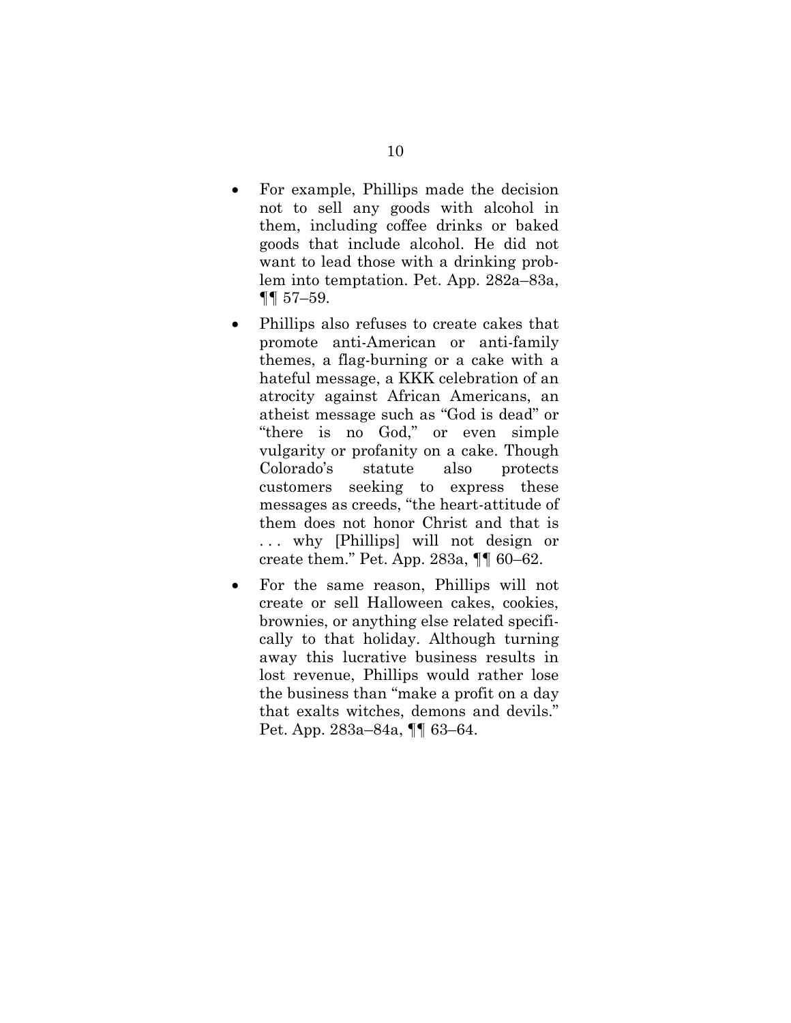- For example, Phillips made the decision not to sell any goods with alcohol in them, including coffee drinks or baked goods that include alcohol. He did not want to lead those with a drinking problem into temptation. Pet. App. 282a–83a, ¶¶ 57–59.
- Phillips also refuses to create cakes that promote anti-American or anti-family themes, a flag-burning or a cake with a hateful message, a KKK celebration of an atrocity against African Americans, an atheist message such as "God is dead" or "there is no God," or even simple vulgarity or profanity on a cake. Though Colorado's statute also protects customers seeking to express these messages as creeds, "the heart-attitude of them does not honor Christ and that is . . . why [Phillips] will not design or create them." Pet. App. 283a, ¶¶ 60–62.
- For the same reason, Phillips will not create or sell Halloween cakes, cookies, brownies, or anything else related specifically to that holiday. Although turning away this lucrative business results in lost revenue, Phillips would rather lose the business than "make a profit on a day that exalts witches, demons and devils." Pet. App. 283a–84a, ¶¶ 63–64.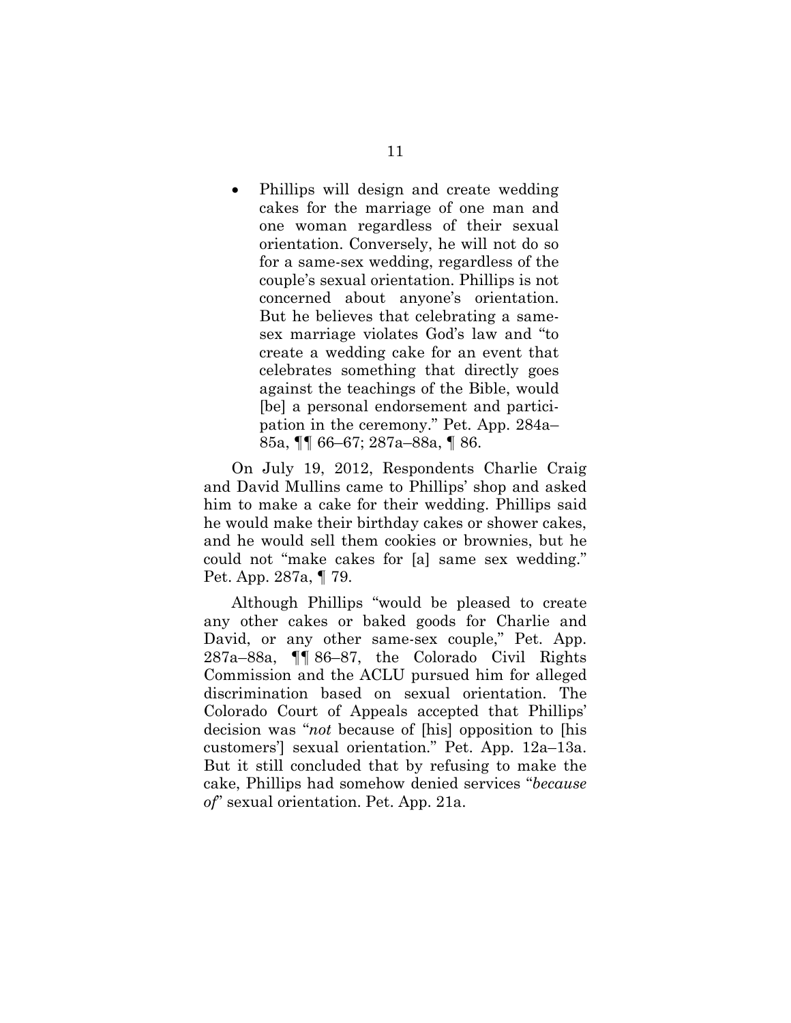• Phillips will design and create wedding cakes for the marriage of one man and one woman regardless of their sexual orientation. Conversely, he will not do so for a same-sex wedding, regardless of the couple's sexual orientation. Phillips is not concerned about anyone's orientation. But he believes that celebrating a samesex marriage violates God's law and "to create a wedding cake for an event that celebrates something that directly goes against the teachings of the Bible, would [be] a personal endorsement and participation in the ceremony." Pet. App. 284a– 85a, ¶¶ 66–67; 287a–88a, ¶ 86.

On July 19, 2012, Respondents Charlie Craig and David Mullins came to Phillips' shop and asked him to make a cake for their wedding. Phillips said he would make their birthday cakes or shower cakes, and he would sell them cookies or brownies, but he could not "make cakes for [a] same sex wedding." Pet. App. 287a, ¶ 79.

Although Phillips "would be pleased to create any other cakes or baked goods for Charlie and David, or any other same-sex couple," Pet. App. 287a–88a, ¶¶ 86–87, the Colorado Civil Rights Commission and the ACLU pursued him for alleged discrimination based on sexual orientation. The Colorado Court of Appeals accepted that Phillips' decision was "*not* because of [his] opposition to [his customers'] sexual orientation." Pet. App. 12a–13a. But it still concluded that by refusing to make the cake, Phillips had somehow denied services "*because of*" sexual orientation. Pet. App. 21a.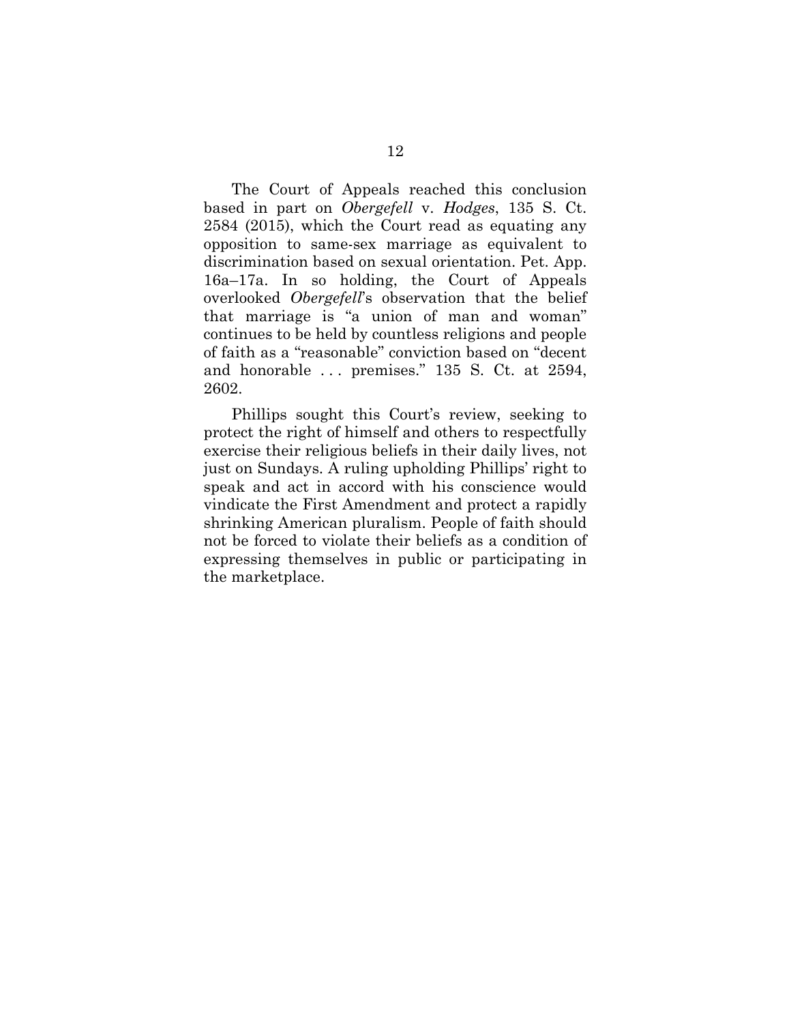The Court of Appeals reached this conclusion based in part on *Obergefell* v. *Hodges*, 135 S. Ct. 2584 (2015), which the Court read as equating any opposition to same-sex marriage as equivalent to discrimination based on sexual orientation. Pet. App. 16a–17a. In so holding, the Court of Appeals overlooked *Obergefell*'s observation that the belief that marriage is "a union of man and woman" continues to be held by countless religions and people of faith as a "reasonable" conviction based on "decent and honorable ... premises." 135 S. Ct. at 2594, 2602.

<span id="page-19-0"></span>Phillips sought this Court's review, seeking to protect the right of himself and others to respectfully exercise their religious beliefs in their daily lives, not just on Sundays. A ruling upholding Phillips' right to speak and act in accord with his conscience would vindicate the First Amendment and protect a rapidly shrinking American pluralism. People of faith should not be forced to violate their beliefs as a condition of expressing themselves in public or participating in the marketplace.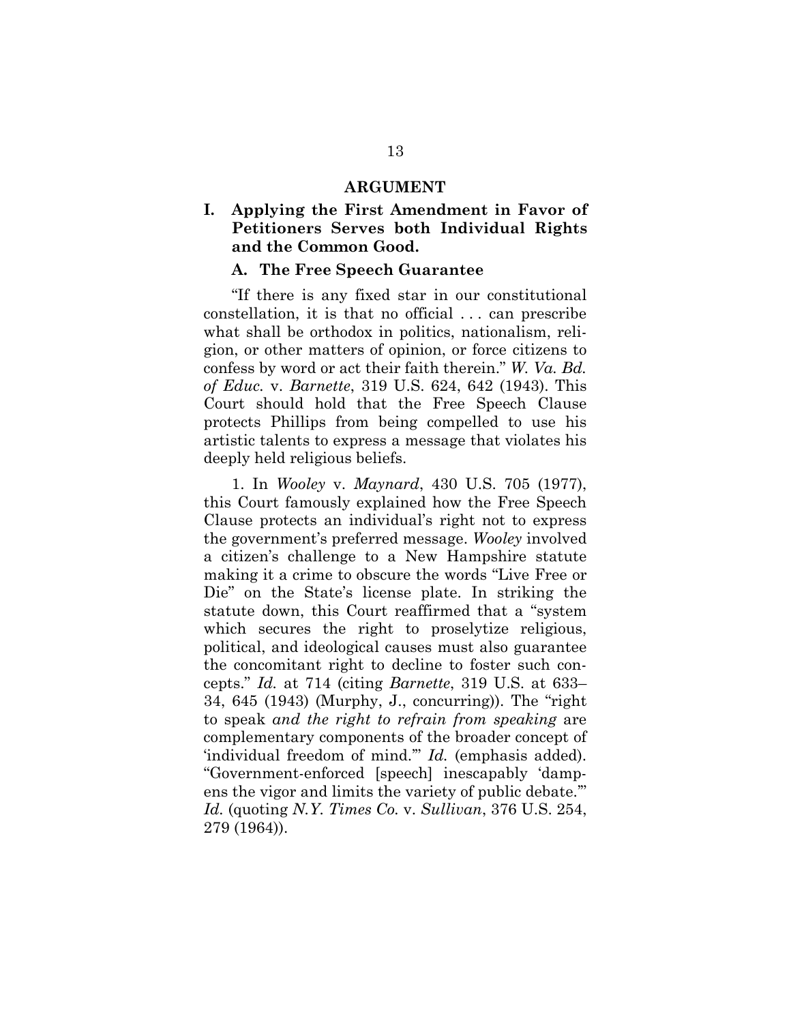#### **ARGUMENT**

### <span id="page-20-0"></span>**I. Applying the First Amendment in Favor of Petitioners Serves both Individual Rights and the Common Good.**

### **A. The Free Speech Guarantee**

<span id="page-20-1"></span>"If there is any fixed star in our constitutional constellation, it is that no official . . . can prescribe what shall be orthodox in politics, nationalism, religion, or other matters of opinion, or force citizens to confess by word or act their faith therein." *W. Va. Bd. of Educ.* v. *Barnette*, 319 U.S. 624, 642 (1943). This Court should hold that the Free Speech Clause protects Phillips from being compelled to use his artistic talents to express a message that violates his deeply held religious beliefs.

1. In *Wooley* v. *Maynard*, 430 U.S. 705 (1977), this Court famously explained how the Free Speech Clause protects an individual's right not to express the government's preferred message. *Wooley* involved a citizen's challenge to a New Hampshire statute making it a crime to obscure the words "Live Free or Die" on the State's license plate. In striking the statute down, this Court reaffirmed that a "system which secures the right to proselytize religious, political, and ideological causes must also guarantee the concomitant right to decline to foster such concepts." *Id.* at 714 (citing *Barnette*, 319 U.S. at 633– 34, 645 (1943) (Murphy, J., concurring)). The "right to speak *and the right to refrain from speaking* are complementary components of the broader concept of 'individual freedom of mind.'" *Id.* (emphasis added). "Government-enforced [speech] inescapably 'dampens the vigor and limits the variety of public debate.'" *Id.* (quoting *N.Y. Times Co.* v. *Sullivan*, 376 U.S. 254, 279 (1964)).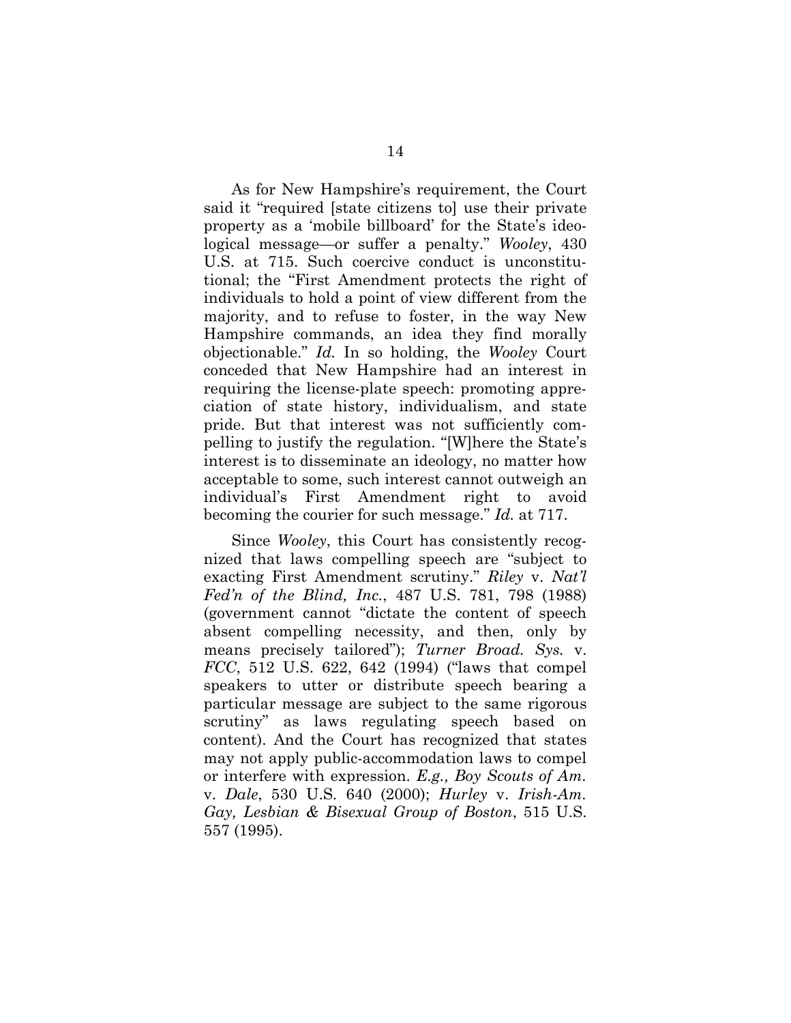As for New Hampshire's requirement, the Court said it "required [state citizens to] use their private property as a 'mobile billboard' for the State's ideological message—or suffer a penalty." *Wooley*, 430 U.S. at 715. Such coercive conduct is unconstitutional; the "First Amendment protects the right of individuals to hold a point of view different from the majority, and to refuse to foster, in the way New Hampshire commands, an idea they find morally objectionable." *Id.* In so holding, the *Wooley* Court conceded that New Hampshire had an interest in requiring the license-plate speech: promoting appreciation of state history, individualism, and state pride. But that interest was not sufficiently compelling to justify the regulation. "[W]here the State's interest is to disseminate an ideology, no matter how acceptable to some, such interest cannot outweigh an individual's First Amendment right to avoid becoming the courier for such message." *Id.* at 717.

Since *Wooley*, this Court has consistently recognized that laws compelling speech are "subject to exacting First Amendment scrutiny." *Riley* v. *Nat'l Fed'n of the Blind, Inc.*, 487 U.S. 781, 798 (1988) (government cannot "dictate the content of speech absent compelling necessity, and then, only by means precisely tailored"); *Turner Broad. Sys.* v. *FCC*, 512 U.S. 622, 642 (1994) ("laws that compel speakers to utter or distribute speech bearing a particular message are subject to the same rigorous scrutiny" as laws regulating speech based on content). And the Court has recognized that states may not apply public-accommodation laws to compel or interfere with expression. *E.g., Boy Scouts of Am.*  v. *Dale*, 530 U.S. 640 (2000); *Hurley* v. *Irish-Am. Gay, Lesbian & Bisexual Group of Boston*, 515 U.S. 557 (1995).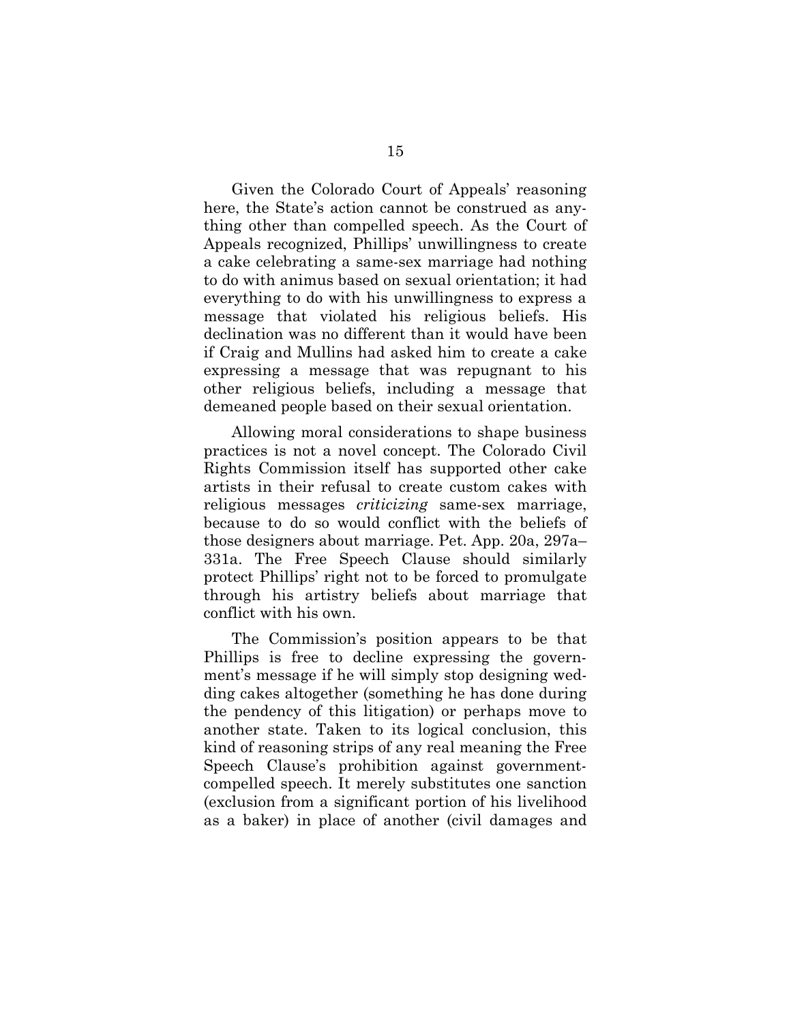Given the Colorado Court of Appeals' reasoning here, the State's action cannot be construed as anything other than compelled speech. As the Court of Appeals recognized, Phillips' unwillingness to create a cake celebrating a same-sex marriage had nothing to do with animus based on sexual orientation; it had everything to do with his unwillingness to express a message that violated his religious beliefs. His declination was no different than it would have been if Craig and Mullins had asked him to create a cake expressing a message that was repugnant to his other religious beliefs, including a message that demeaned people based on their sexual orientation.

Allowing moral considerations to shape business practices is not a novel concept. The Colorado Civil Rights Commission itself has supported other cake artists in their refusal to create custom cakes with religious messages *criticizing* same-sex marriage, because to do so would conflict with the beliefs of those designers about marriage. Pet. App. 20a, 297a– 331a. The Free Speech Clause should similarly protect Phillips' right not to be forced to promulgate through his artistry beliefs about marriage that conflict with his own.

The Commission's position appears to be that Phillips is free to decline expressing the government's message if he will simply stop designing wedding cakes altogether (something he has done during the pendency of this litigation) or perhaps move to another state. Taken to its logical conclusion, this kind of reasoning strips of any real meaning the Free Speech Clause's prohibition against governmentcompelled speech. It merely substitutes one sanction (exclusion from a significant portion of his livelihood as a baker) in place of another (civil damages and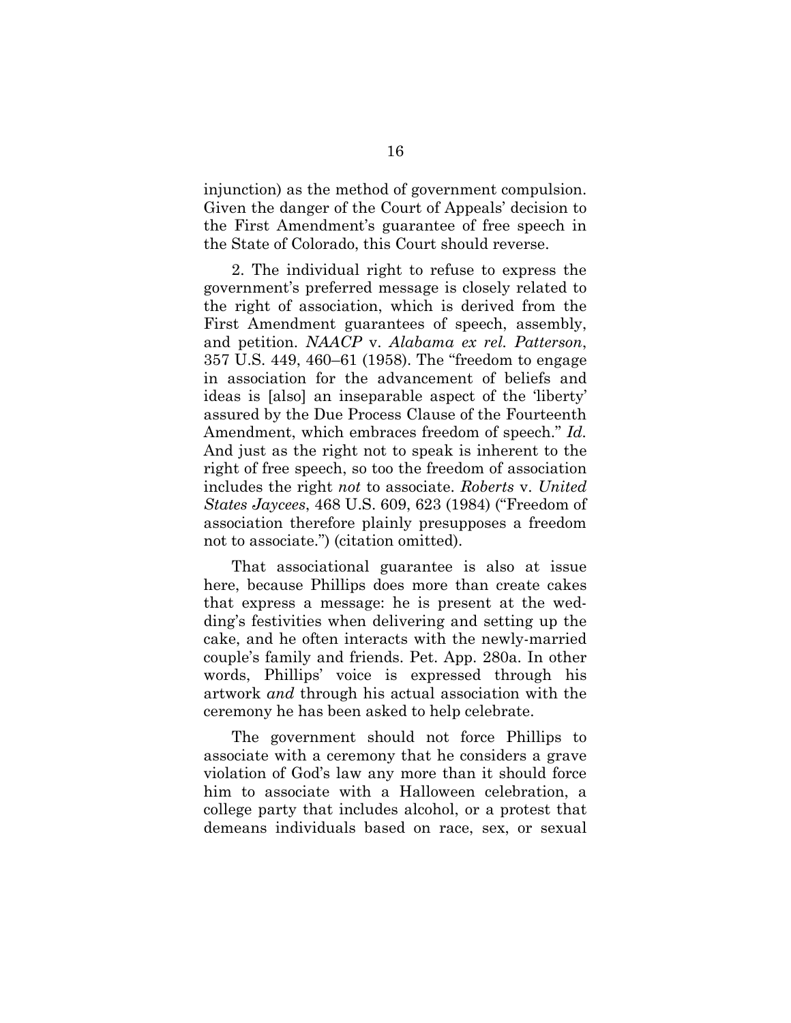injunction) as the method of government compulsion. Given the danger of the Court of Appeals' decision to the First Amendment's guarantee of free speech in the State of Colorado, this Court should reverse.

2. The individual right to refuse to express the government's preferred message is closely related to the right of association, which is derived from the First Amendment guarantees of speech, assembly, and petition. *NAACP* v. *Alabama ex rel. Patterson*, 357 U.S. 449, 460–61 (1958). The "freedom to engage in association for the advancement of beliefs and ideas is [also] an inseparable aspect of the 'liberty' assured by the Due Process Clause of the Fourteenth Amendment, which embraces freedom of speech." *Id.* And just as the right not to speak is inherent to the right of free speech, so too the freedom of association includes the right *not* to associate. *Roberts* v. *United States Jaycees*, 468 U.S. 609, 623 (1984) ("Freedom of association therefore plainly presupposes a freedom not to associate.") (citation omitted).

That associational guarantee is also at issue here, because Phillips does more than create cakes that express a message: he is present at the wedding's festivities when delivering and setting up the cake, and he often interacts with the newly-married couple's family and friends. Pet. App. 280a. In other words, Phillips' voice is expressed through his artwork *and* through his actual association with the ceremony he has been asked to help celebrate.

The government should not force Phillips to associate with a ceremony that he considers a grave violation of God's law any more than it should force him to associate with a Halloween celebration, a college party that includes alcohol, or a protest that demeans individuals based on race, sex, or sexual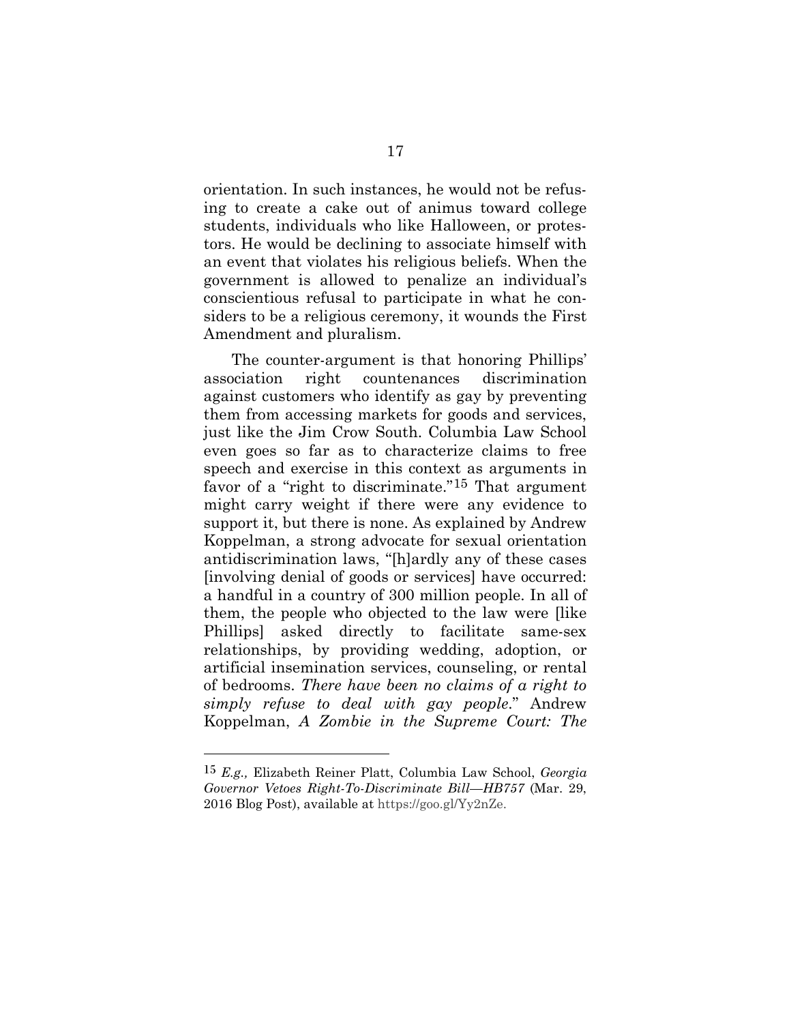orientation. In such instances, he would not be refusing to create a cake out of animus toward college students, individuals who like Halloween, or protestors. He would be declining to associate himself with an event that violates his religious beliefs. When the government is allowed to penalize an individual's conscientious refusal to participate in what he considers to be a religious ceremony, it wounds the First Amendment and pluralism.

The counter-argument is that honoring Phillips' association right countenances discrimination against customers who identify as gay by preventing them from accessing markets for goods and services, just like the Jim Crow South. Columbia Law School even goes so far as to characterize claims to free speech and exercise in this context as arguments in favor of a "right to discriminate."<sup>[15](#page-26-0)</sup> That argument might carry weight if there were any evidence to support it, but there is none. As explained by Andrew Koppelman, a strong advocate for sexual orientation antidiscrimination laws, "[h]ardly any of these cases [involving denial of goods or services] have occurred: a handful in a country of 300 million people. In all of them, the people who objected to the law were [like Phillips] asked directly to facilitate same-sex relationships, by providing wedding, adoption, or artificial insemination services, counseling, or rental of bedrooms. *There have been no claims of a right to simply refuse to deal with gay people*." Andrew Koppelman, *A Zombie in the Supreme Court: The* 

<sup>15</sup> *E.g.,* Elizabeth Reiner Platt, Columbia Law School, *Georgia Governor Vetoes Right-To-Discriminate Bill—HB757* (Mar. 29, 2016 Blog Post), available at https://goo.gl/Yy2nZe.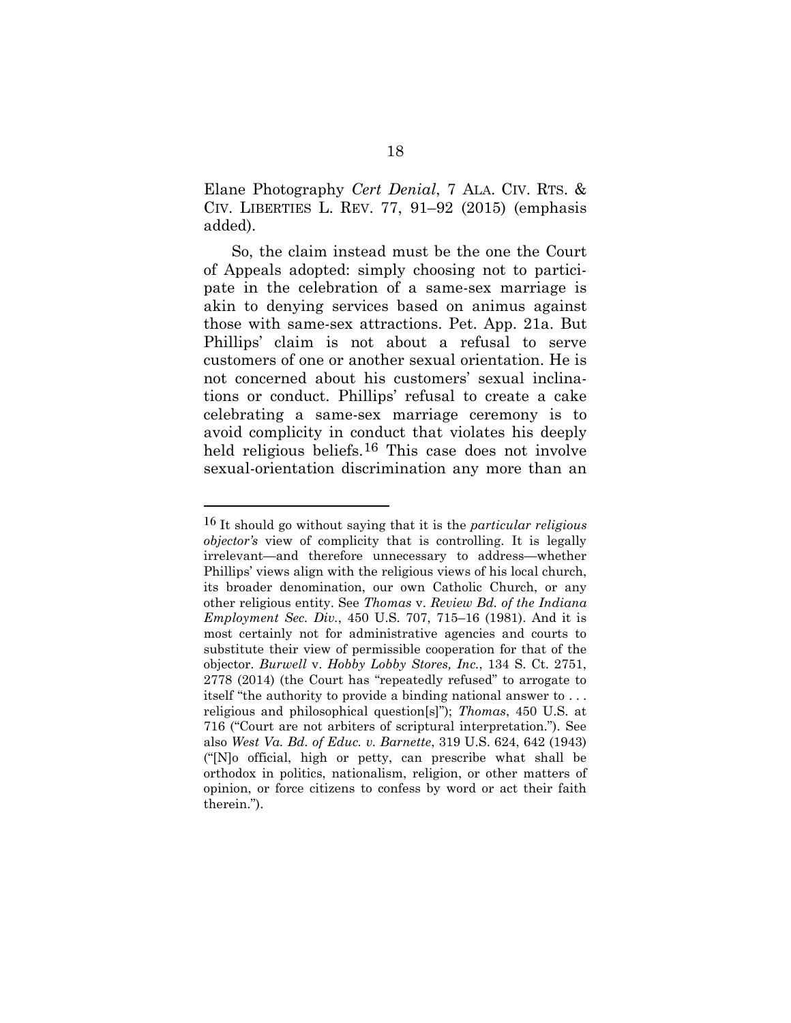Elane Photography *Cert Denial*, 7 ALA. CIV. RTS. & CIV. LIBERTIES L. REV. 77, 91–92 (2015) (emphasis added).

So, the claim instead must be the one the Court of Appeals adopted: simply choosing not to participate in the celebration of a same-sex marriage is akin to denying services based on animus against those with same-sex attractions. Pet. App. 21a. But Phillips' claim is not about a refusal to serve customers of one or another sexual orientation. He is not concerned about his customers' sexual inclinations or conduct. Phillips' refusal to create a cake celebrating a same-sex marriage ceremony is to avoid complicity in conduct that violates his deeply held religious beliefs.[16](#page-27-0) This case does not involve sexual-orientation discrimination any more than an

<sup>16</sup> It should go without saying that it is the *particular religious objector's* view of complicity that is controlling. It is legally irrelevant—and therefore unnecessary to address—whether Phillips' views align with the religious views of his local church, its broader denomination, our own Catholic Church, or any other religious entity. See *Thomas* v. *Review Bd. of the Indiana Employment Sec. Div.*, 450 U.S. 707, 715–16 (1981). And it is most certainly not for administrative agencies and courts to substitute their view of permissible cooperation for that of the objector. *Burwell* v. *Hobby Lobby Stores, Inc.*, 134 S. Ct. 2751, 2778 (2014) (the Court has "repeatedly refused" to arrogate to itself "the authority to provide a binding national answer to . . . religious and philosophical question[s]"); *Thomas*, 450 U.S. at 716 ("Court are not arbiters of scriptural interpretation."). See also *West Va. Bd. of Educ. v. Barnette*, 319 U.S. 624, 642 (1943) ("[N]o official, high or petty, can prescribe what shall be orthodox in politics, nationalism, religion, or other matters of opinion, or force citizens to confess by word or act their faith therein.").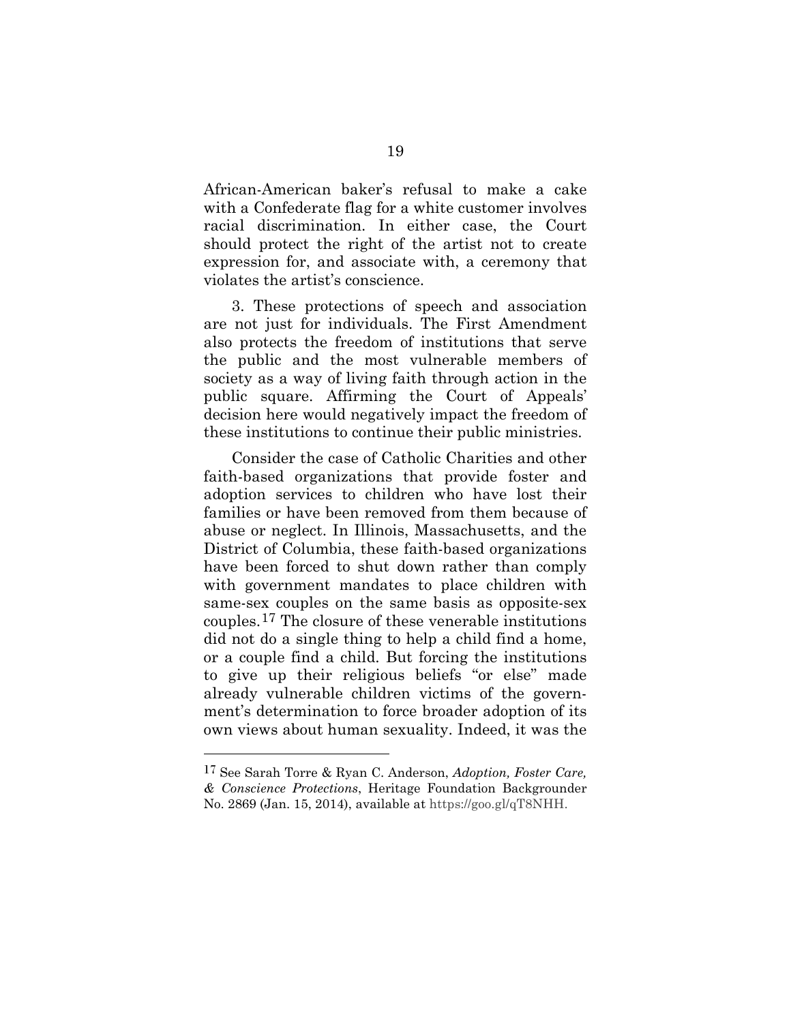African-American baker's refusal to make a cake with a Confederate flag for a white customer involves racial discrimination. In either case, the Court should protect the right of the artist not to create expression for, and associate with, a ceremony that violates the artist's conscience.

3. These protections of speech and association are not just for individuals. The First Amendment also protects the freedom of institutions that serve the public and the most vulnerable members of society as a way of living faith through action in the public square. Affirming the Court of Appeals' decision here would negatively impact the freedom of these institutions to continue their public ministries.

Consider the case of Catholic Charities and other faith-based organizations that provide foster and adoption services to children who have lost their families or have been removed from them because of abuse or neglect. In Illinois, Massachusetts, and the District of Columbia, these faith-based organizations have been forced to shut down rather than comply with government mandates to place children with same-sex couples on the same basis as opposite-sex couples.[17](#page-28-0) The closure of these venerable institutions did not do a single thing to help a child find a home, or a couple find a child. But forcing the institutions to give up their religious beliefs "or else" made already vulnerable children victims of the government's determination to force broader adoption of its own views about human sexuality. Indeed, it was the

<span id="page-26-0"></span><sup>17</sup> See Sarah Torre & Ryan C. Anderson, *Adoption, Foster Care, & Conscience Protections*, Heritage Foundation Backgrounder No. 2869 (Jan. 15, 2014), available at https://goo.gl/qT8NHH.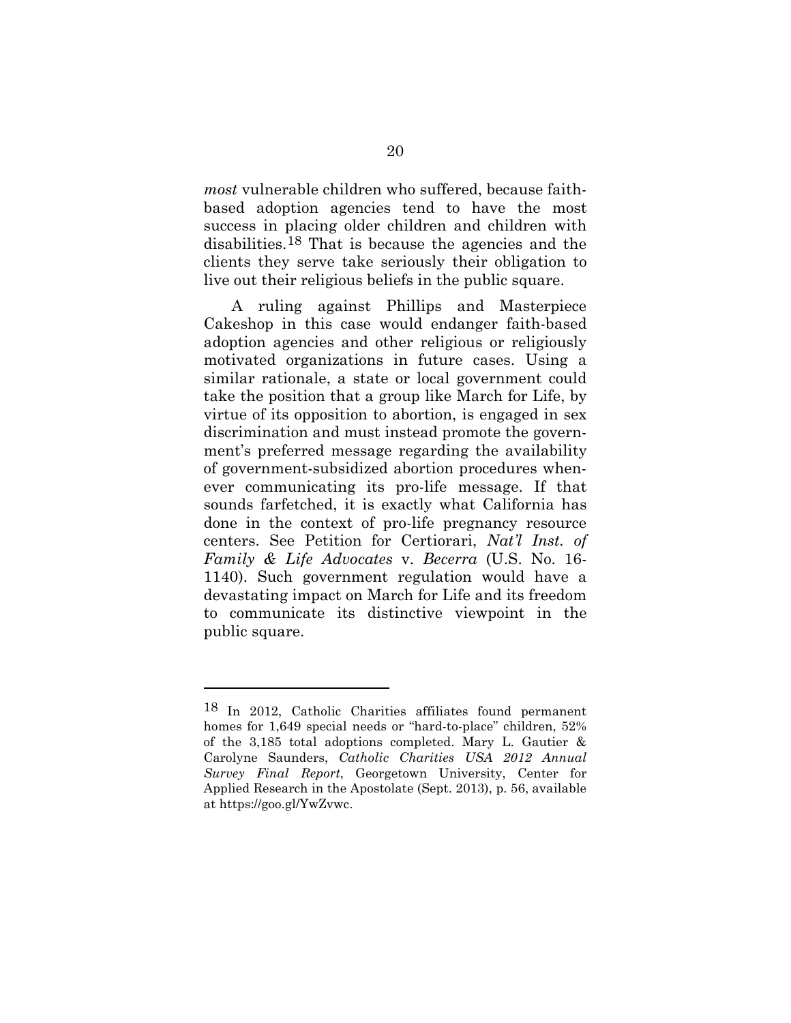*most* vulnerable children who suffered, because faithbased adoption agencies tend to have the most success in placing older children and children with disabilities.[18](#page-29-1) That is because the agencies and the clients they serve take seriously their obligation to live out their religious beliefs in the public square.

<span id="page-27-0"></span>A ruling against Phillips and Masterpiece Cakeshop in this case would endanger faith-based adoption agencies and other religious or religiously motivated organizations in future cases. Using a similar rationale, a state or local government could take the position that a group like March for Life, by virtue of its opposition to abortion, is engaged in sex discrimination and must instead promote the government's preferred message regarding the availability of government-subsidized abortion procedures whenever communicating its pro-life message. If that sounds farfetched, it is exactly what California has done in the context of pro-life pregnancy resource centers. See Petition for Certiorari, *Nat'l Inst. of Family & Life Advocates* v. *Becerra* (U.S. No. 16- 1140). Such government regulation would have a devastating impact on March for Life and its freedom to communicate its distinctive viewpoint in the public square.

<sup>18</sup> In 2012, Catholic Charities affiliates found permanent homes for 1,649 special needs or "hard-to-place" children, 52% of the 3,185 total adoptions completed. Mary L. Gautier & Carolyne Saunders, *Catholic Charities USA 2012 Annual Survey Final Report*, Georgetown University, Center for Applied Research in the Apostolate (Sept. 2013), p. 56, available at https://goo.gl/YwZvwc.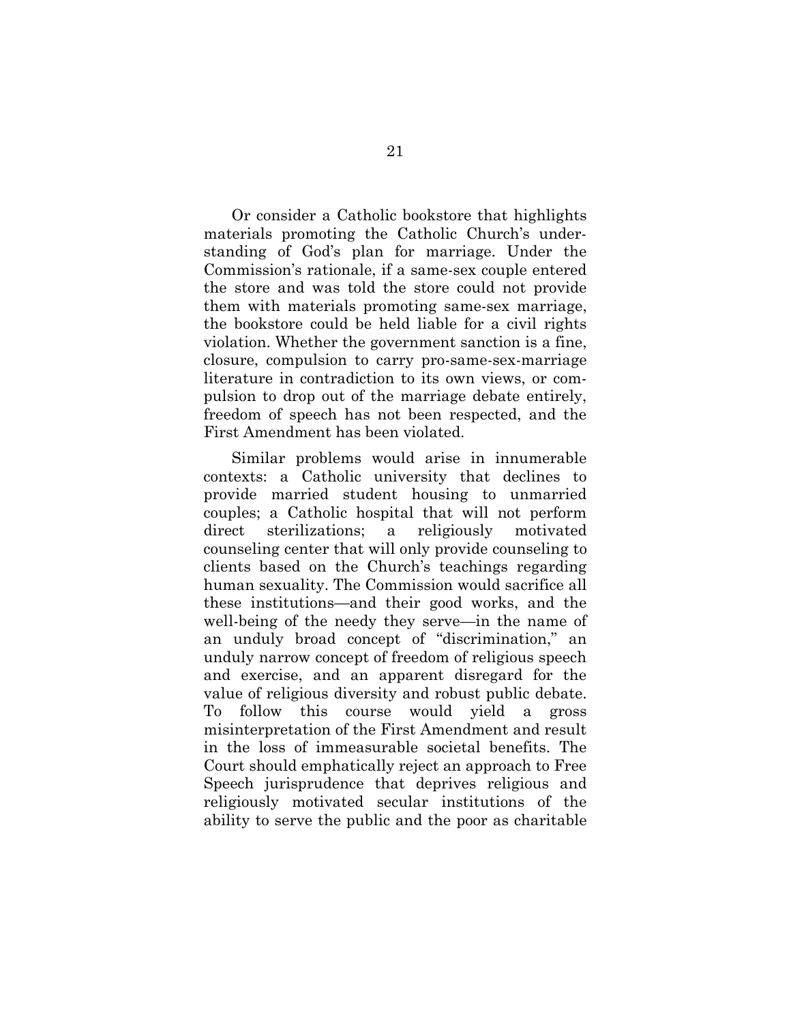Or consider a Catholic bookstore that highlights materials promoting the Catholic Church's understanding of God's plan for marriage. Under the Commission's rationale, if a same-sex couple entered the store and was told the store could not provide them with materials promoting same-sex marriage, the bookstore could be held liable for a civil rights violation. Whether the government sanction is a fine, closure, compulsion to carry pro-same-sex-marriage literature in contradiction to its own views, or compulsion to drop out of the marriage debate entirely, freedom of speech has not been respected, and the First Amendment has been violated.

<span id="page-28-0"></span>Similar problems would arise in innumerable contexts: a Catholic university that declines to provide married student housing to unmarried couples; a Catholic hospital that will not perform direct sterilizations; a religiously motivated counseling center that will only provide counseling to clients based on the Church's teachings regarding human sexuality. The Commission would sacrifice all these institutions—and their good works, and the well-being of the needy they serve—in the name of an unduly broad concept of "discrimination," an unduly narrow concept of freedom of religious speech and exercise, and an apparent disregard for the value of religious diversity and robust public debate. To follow this course would yield a gross misinterpretation of the First Amendment and result in the loss of immeasurable societal benefits. The Court should emphatically reject an approach to Free Speech jurisprudence that deprives religious and religiously motivated secular institutions of the ability to serve the public and the poor as charitable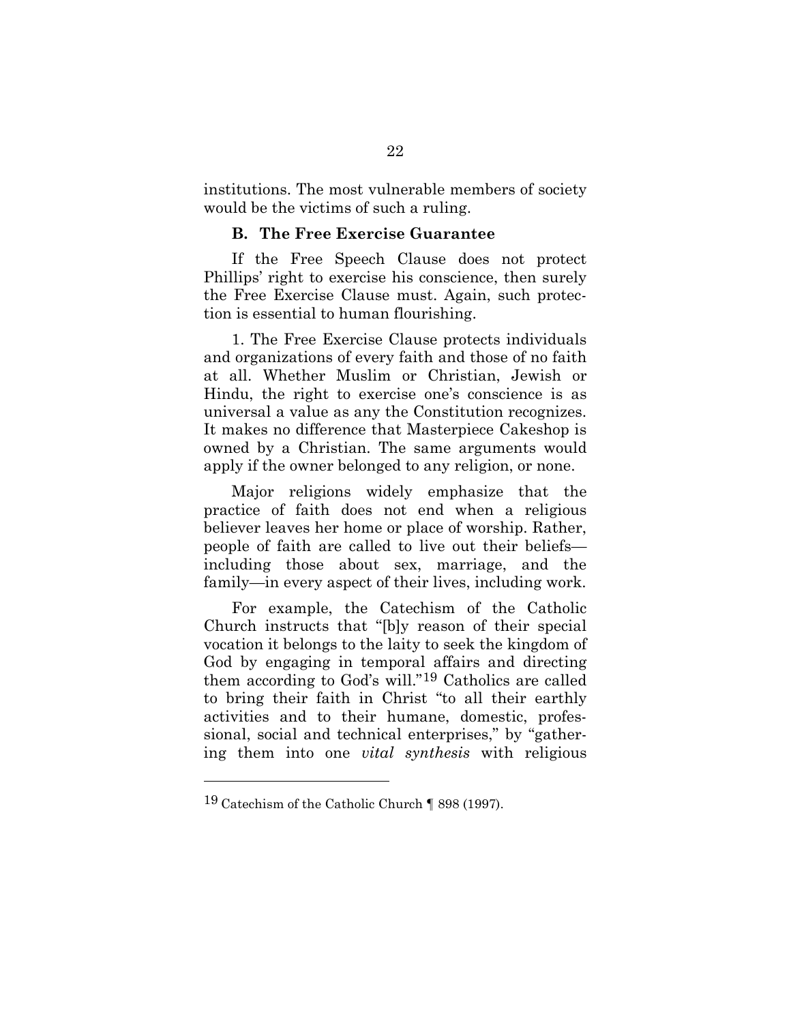institutions. The most vulnerable members of society would be the victims of such a ruling.

#### **B. The Free Exercise Guarantee**

<span id="page-29-0"></span>If the Free Speech Clause does not protect Phillips' right to exercise his conscience, then surely the Free Exercise Clause must. Again, such protection is essential to human flourishing.

1. The Free Exercise Clause protects individuals and organizations of every faith and those of no faith at all. Whether Muslim or Christian, Jewish or Hindu, the right to exercise one's conscience is as universal a value as any the Constitution recognizes. It makes no difference that Masterpiece Cakeshop is owned by a Christian. The same arguments would apply if the owner belonged to any religion, or none.

Major religions widely emphasize that the practice of faith does not end when a religious believer leaves her home or place of worship. Rather, people of faith are called to live out their beliefs including those about sex, marriage, and the family—in every aspect of their lives, including work.

<span id="page-29-1"></span>For example, the Catechism of the Catholic Church instructs that "[b]y reason of their special vocation it belongs to the laity to seek the kingdom of God by engaging in temporal affairs and directing them according to God's will."[19](#page-32-0) Catholics are called to bring their faith in Christ "to all their earthly activities and to their humane, domestic, professional, social and technical enterprises," by "gathering them into one *vital synthesis* with religious

<sup>19</sup> Catechism of the Catholic Church ¶ 898 (1997).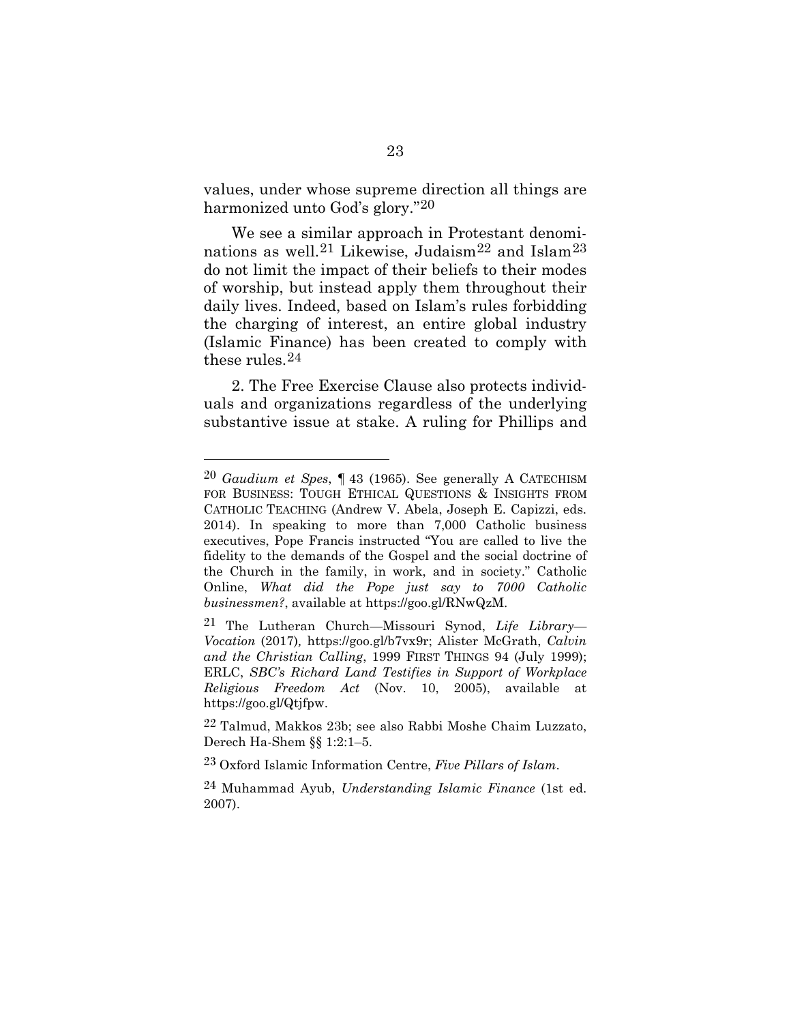values, under whose supreme direction all things are harmonized unto God's glory.["20](#page-32-1)

We see a similar approach in Protestant denomi-nations as well.<sup>[21](#page-32-2)</sup> Likewise, Judaism<sup>[22](#page-32-3)</sup> and Islam<sup>[23](#page-32-4)</sup> do not limit the impact of their beliefs to their modes of worship, but instead apply them throughout their daily lives. Indeed, based on Islam's rules forbidding the charging of interest, an entire global industry (Islamic Finance) has been created to comply with these rules.[24](#page-33-0)

2. The Free Exercise Clause also protects individuals and organizations regardless of the underlying substantive issue at stake. A ruling for Phillips and

<sup>20</sup> *Gaudium et Spes*, ¶ 43 (1965). See generally A CATECHISM FOR BUSINESS: TOUGH ETHICAL QUESTIONS & INSIGHTS FROM CATHOLIC TEACHING (Andrew V. Abela, Joseph E. Capizzi, eds. 2014). In speaking to more than 7,000 Catholic business executives, Pope Francis instructed "You are called to live the fidelity to the demands of the Gospel and the social doctrine of the Church in the family, in work, and in society." Catholic Online, *What did the Pope just say to 7000 Catholic businessmen?*, available at https://goo.gl/RNwQzM.

<sup>21</sup> The Lutheran Church—Missouri Synod, *Life Library— Vocation* (2017)*,* https://goo.gl/b7vx9r; Alister McGrath, *Calvin and the Christian Calling*, 1999 FIRST THINGS 94 (July 1999); ERLC, *SBC's Richard Land Testifies in Support of Workplace Religious Freedom Act* (Nov. 10, 2005), available at https://goo.gl/Qtjfpw.

<sup>22</sup> Talmud, Makkos 23b; see also Rabbi Moshe Chaim Luzzato, Derech Ha-Shem §§ 1:2:1–5.

<sup>23</sup> Oxford Islamic Information Centre, *Five Pillars of Islam*.

<sup>24</sup> Muhammad Ayub, *Understanding Islamic Finance* (1st ed. 2007).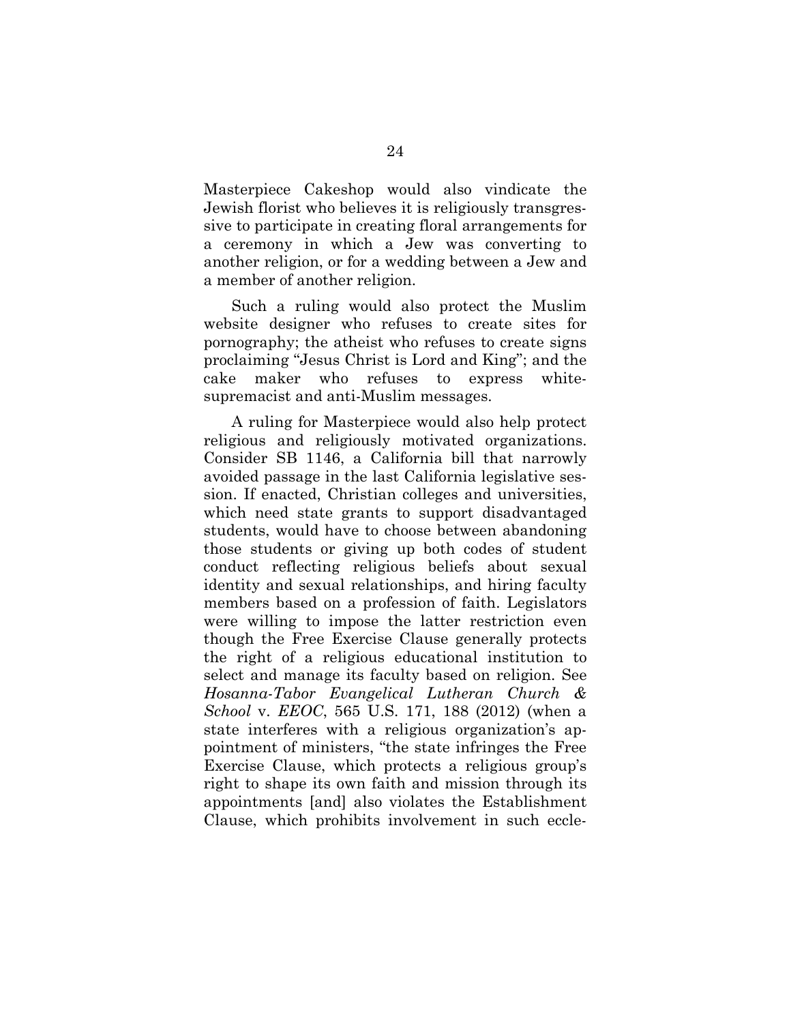Masterpiece Cakeshop would also vindicate the Jewish florist who believes it is religiously transgressive to participate in creating floral arrangements for a ceremony in which a Jew was converting to another religion, or for a wedding between a Jew and a member of another religion.

Such a ruling would also protect the Muslim website designer who refuses to create sites for pornography; the atheist who refuses to create signs proclaiming "Jesus Christ is Lord and King"; and the cake maker who refuses to express whitesupremacist and anti-Muslim messages.

A ruling for Masterpiece would also help protect religious and religiously motivated organizations. Consider SB 1146, a California bill that narrowly avoided passage in the last California legislative session. If enacted, Christian colleges and universities, which need state grants to support disadvantaged students, would have to choose between abandoning those students or giving up both codes of student conduct reflecting religious beliefs about sexual identity and sexual relationships, and hiring faculty members based on a profession of faith. Legislators were willing to impose the latter restriction even though the Free Exercise Clause generally protects the right of a religious educational institution to select and manage its faculty based on religion. See *Hosanna-Tabor Evangelical Lutheran Church & School* v. *EEOC*, 565 U.S. 171, 188 (2012) (when a state interferes with a religious organization's appointment of ministers, "the state infringes the Free Exercise Clause, which protects a religious group's right to shape its own faith and mission through its appointments [and] also violates the Establishment Clause, which prohibits involvement in such eccle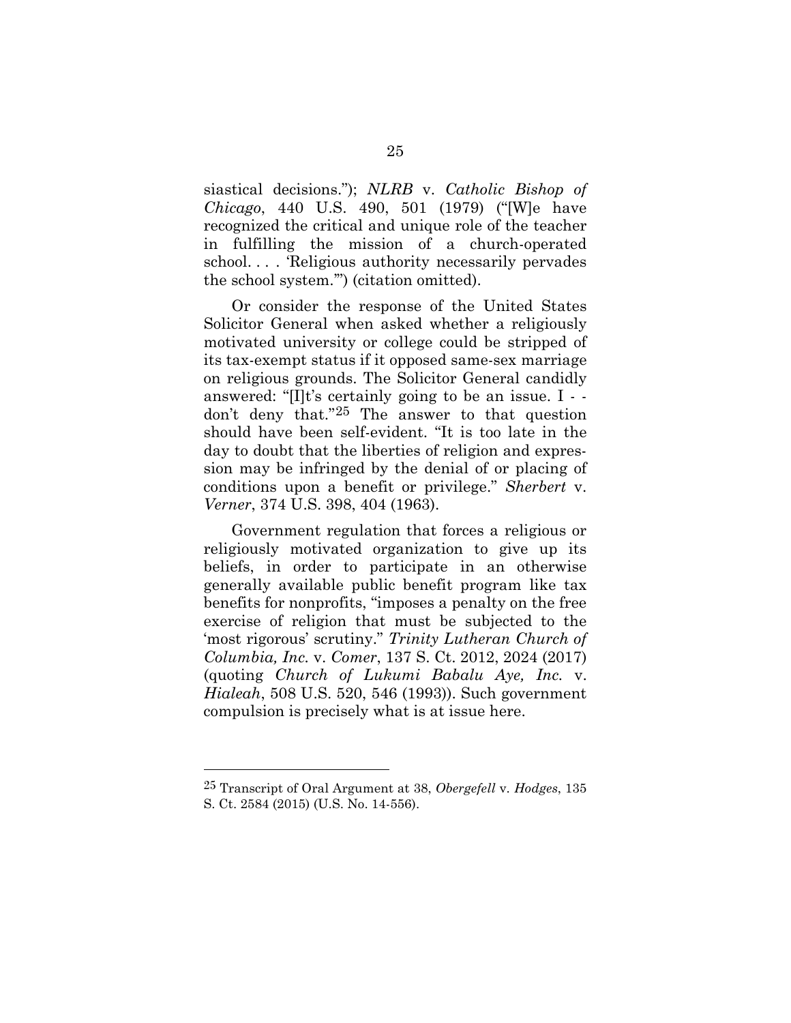siastical decisions."); *NLRB* v. *Catholic Bishop of Chicago*, 440 U.S. 490, 501 (1979) ("[W]e have recognized the critical and unique role of the teacher in fulfilling the mission of a church-operated school. . . . 'Religious authority necessarily pervades the school system.'") (citation omitted).

<span id="page-32-0"></span>Or consider the response of the United States Solicitor General when asked whether a religiously motivated university or college could be stripped of its tax-exempt status if it opposed same-sex marriage on religious grounds. The Solicitor General candidly answered: "[I]t's certainly going to be an issue. I - don't deny that."[25](#page-35-1) The answer to that question should have been self-evident. "It is too late in the day to doubt that the liberties of religion and expression may be infringed by the denial of or placing of conditions upon a benefit or privilege." *Sherbert* v. *Verner*, 374 U.S. 398, 404 (1963).

<span id="page-32-3"></span><span id="page-32-1"></span>Government regulation that forces a religious or religiously motivated organization to give up its beliefs, in order to participate in an otherwise generally available public benefit program like tax benefits for nonprofits, "imposes a penalty on the free exercise of religion that must be subjected to the 'most rigorous' scrutiny." *Trinity Lutheran Church of Columbia, Inc.* v. *Comer*, 137 S. Ct. 2012, 2024 (2017) (quoting *Church of Lukumi Babalu Aye, Inc.* v. *Hialeah*, 508 U.S. 520, 546 (1993)). Such government compulsion is precisely what is at issue here.

<span id="page-32-4"></span><span id="page-32-2"></span><sup>25</sup> Transcript of Oral Argument at 38, *Obergefell* v. *Hodges*, 135 S. Ct. 2584 (2015) (U.S. No. 14-556).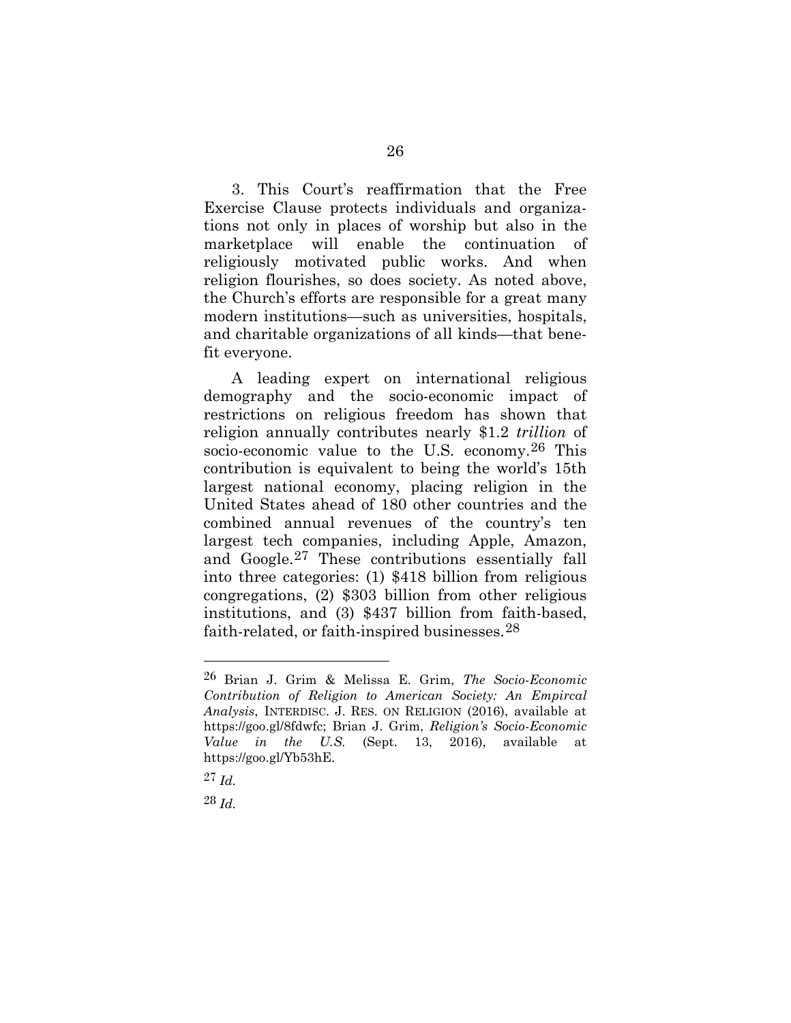3. This Court's reaffirmation that the Free Exercise Clause protects individuals and organizations not only in places of worship but also in the marketplace will enable the continuation of religiously motivated public works. And when religion flourishes, so does society. As noted above, the Church's efforts are responsible for a great many modern institutions—such as universities, hospitals, and charitable organizations of all kinds—that benefit everyone.

A leading expert on international religious demography and the socio-economic impact of restrictions on religious freedom has shown that religion annually contributes nearly \$1.2 *trillion* of socio-economic value to the U.S. economy.[26](#page-36-0) This contribution is equivalent to being the world's 15th largest national economy, placing religion in the United States ahead of 180 other countries and the combined annual revenues of the country's ten largest tech companies, including Apple, Amazon, and Google.[27](#page-36-1) These contributions essentially fall into three categories: (1) \$418 billion from religious congregations, (2) \$303 billion from other religious institutions, and (3) \$437 billion from faith-based, faith-related, or faith-inspired businesses.[28](#page-37-0)

l

28 *Id.*

<sup>26</sup> Brian J. Grim & Melissa E. Grim, *The Socio-Economic Contribution of Religion to American Society: An Empircal Analysis*, INTERDISC. J. RES. ON RELIGION (2016), available at https://goo.gl/8fdwfc; Brian J. Grim, *Religion's Socio-Economic Value in the U.S.* (Sept. 13, 2016), available at https://goo.gl/Yb53hE.

<span id="page-33-0"></span><sup>27</sup> *Id.*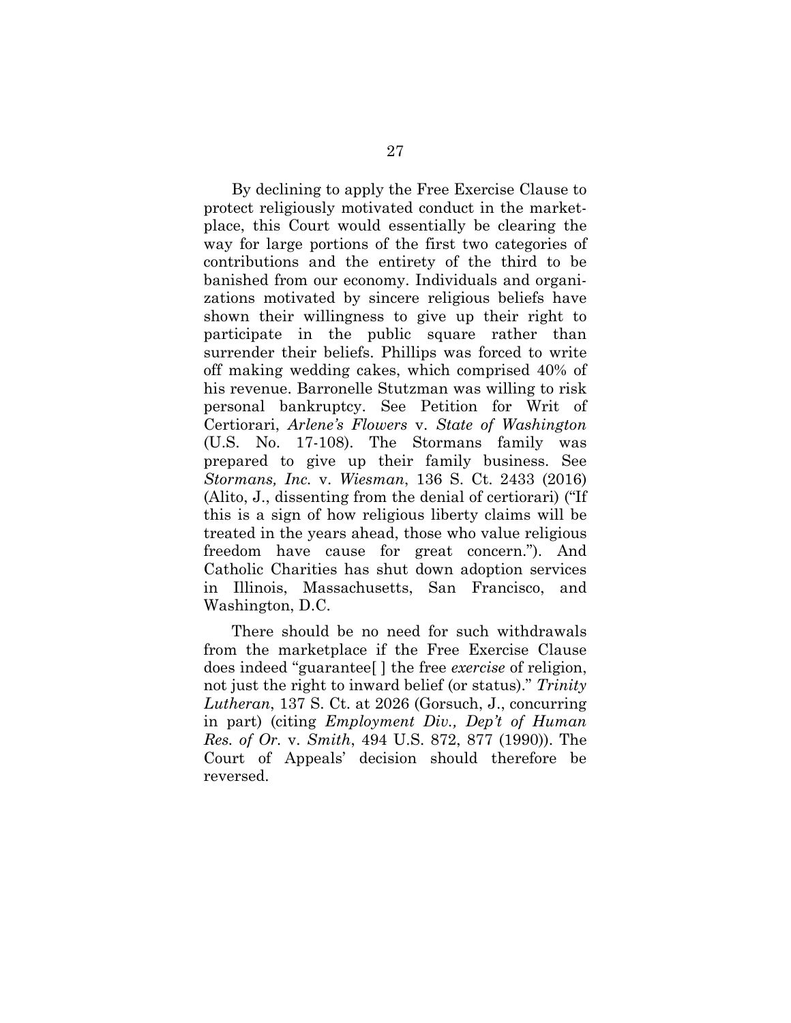By declining to apply the Free Exercise Clause to protect religiously motivated conduct in the marketplace, this Court would essentially be clearing the way for large portions of the first two categories of contributions and the entirety of the third to be banished from our economy. Individuals and organizations motivated by sincere religious beliefs have shown their willingness to give up their right to participate in the public square rather than surrender their beliefs. Phillips was forced to write off making wedding cakes, which comprised 40% of his revenue. Barronelle Stutzman was willing to risk personal bankruptcy. See Petition for Writ of Certiorari, *Arlene's Flowers* v. *State of Washington* (U.S. No. 17-108). The Stormans family was prepared to give up their family business. See *Stormans, Inc.* v. *Wiesman*, 136 S. Ct. 2433 (2016) (Alito, J., dissenting from the denial of certiorari) ("If this is a sign of how religious liberty claims will be treated in the years ahead, those who value religious freedom have cause for great concern."). And Catholic Charities has shut down adoption services in Illinois, Massachusetts, San Francisco, and Washington, D.C.

There should be no need for such withdrawals from the marketplace if the Free Exercise Clause does indeed "guarantee[ ] the free *exercise* of religion, not just the right to inward belief (or status)." *Trinity Lutheran*, 137 S. Ct. at 2026 (Gorsuch, J., concurring in part) (citing *Employment Div., Dep't of Human Res. of Or.* v. *Smith*, 494 U.S. 872, 877 (1990)). The Court of Appeals' decision should therefore be reversed.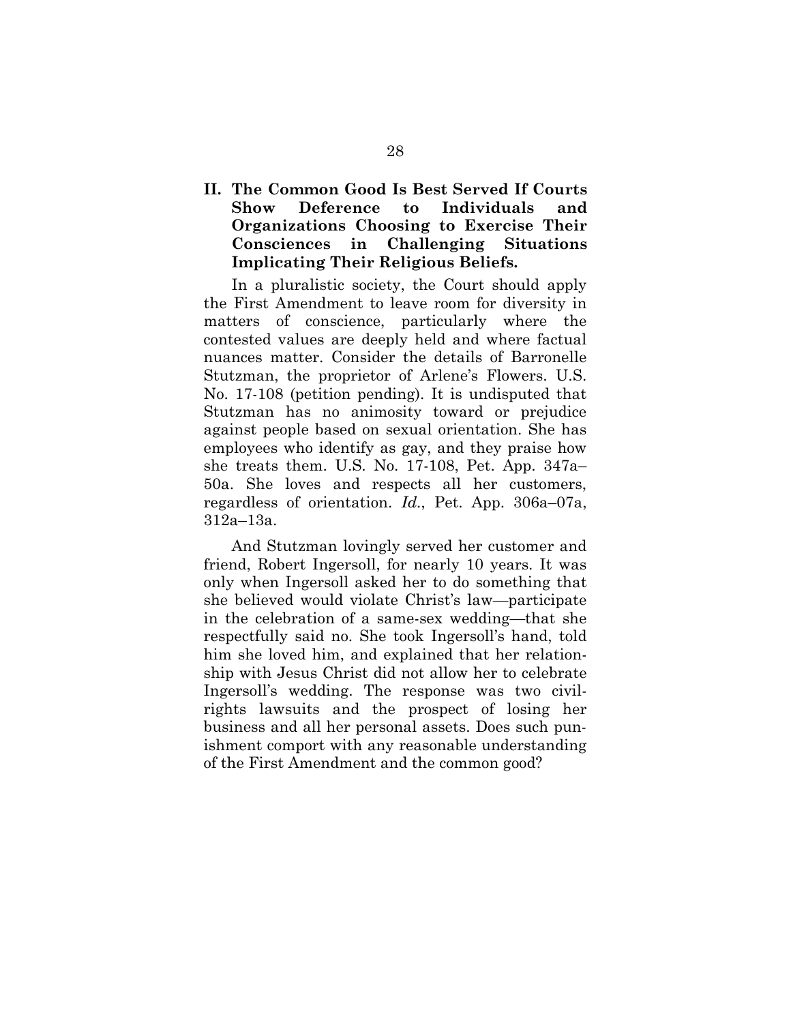### <span id="page-35-0"></span>**II. The Common Good Is Best Served If Courts Show Deference to Individuals and Organizations Choosing to Exercise Their Consciences in Challenging Situations Implicating Their Religious Beliefs.**

In a pluralistic society, the Court should apply the First Amendment to leave room for diversity in matters of conscience, particularly where the contested values are deeply held and where factual nuances matter. Consider the details of Barronelle Stutzman, the proprietor of Arlene's Flowers. U.S. No. 17-108 (petition pending). It is undisputed that Stutzman has no animosity toward or prejudice against people based on sexual orientation. She has employees who identify as gay, and they praise how she treats them. U.S. No. 17-108, Pet. App. 347a– 50a. She loves and respects all her customers, regardless of orientation. *Id.*, Pet. App. 306a–07a, 312a–13a.

<span id="page-35-1"></span>And Stutzman lovingly served her customer and friend, Robert Ingersoll, for nearly 10 years. It was only when Ingersoll asked her to do something that she believed would violate Christ's law—participate in the celebration of a same-sex wedding—that she respectfully said no. She took Ingersoll's hand, told him she loved him, and explained that her relationship with Jesus Christ did not allow her to celebrate Ingersoll's wedding. The response was two civilrights lawsuits and the prospect of losing her business and all her personal assets. Does such punishment comport with any reasonable understanding of the First Amendment and the common good?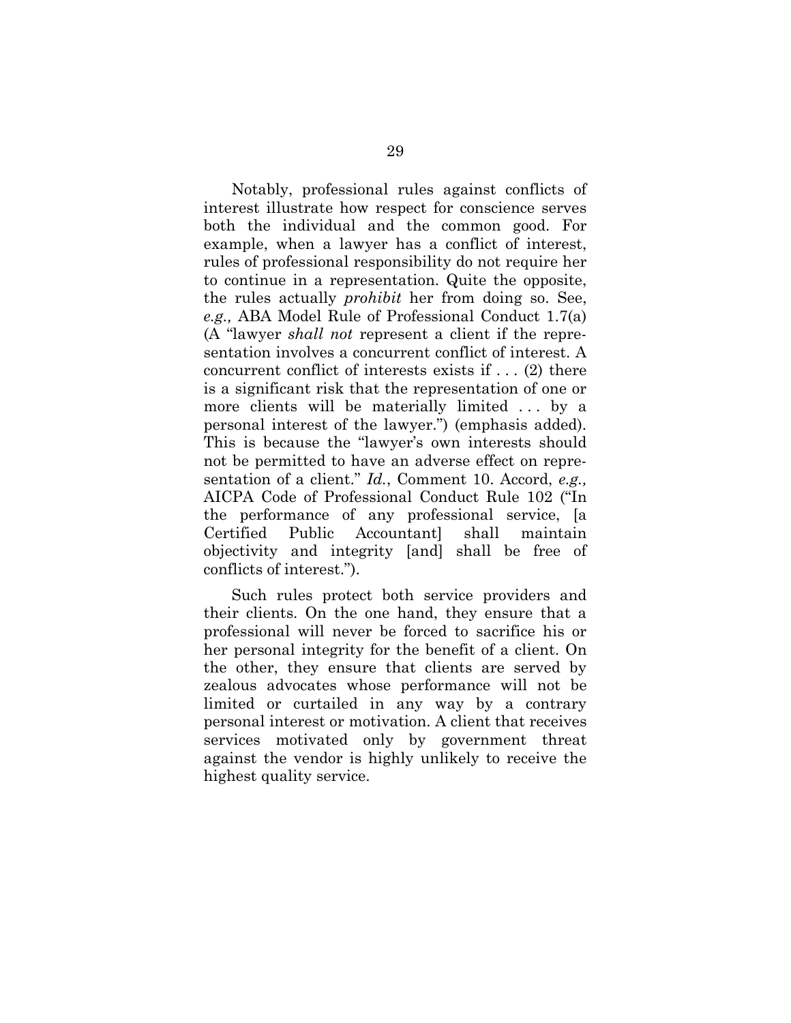Notably, professional rules against conflicts of interest illustrate how respect for conscience serves both the individual and the common good. For example, when a lawyer has a conflict of interest, rules of professional responsibility do not require her to continue in a representation. Quite the opposite, the rules actually *prohibit* her from doing so. See, *e.g.,* ABA Model Rule of Professional Conduct 1.7(a) (A "lawyer *shall not* represent a client if the representation involves a concurrent conflict of interest. A concurrent conflict of interests exists if . . . (2) there is a significant risk that the representation of one or more clients will be materially limited . . . by a personal interest of the lawyer.") (emphasis added). This is because the "lawyer's own interests should not be permitted to have an adverse effect on representation of a client." *Id.*, Comment 10. Accord, *e.g.,*  AICPA Code of Professional Conduct Rule 102 ("In the performance of any professional service, [a Certified Public Accountant] shall maintain objectivity and integrity [and] shall be free of conflicts of interest.").

<span id="page-36-1"></span><span id="page-36-0"></span>Such rules protect both service providers and their clients. On the one hand, they ensure that a professional will never be forced to sacrifice his or her personal integrity for the benefit of a client. On the other, they ensure that clients are served by zealous advocates whose performance will not be limited or curtailed in any way by a contrary personal interest or motivation. A client that receives services motivated only by government threat against the vendor is highly unlikely to receive the highest quality service.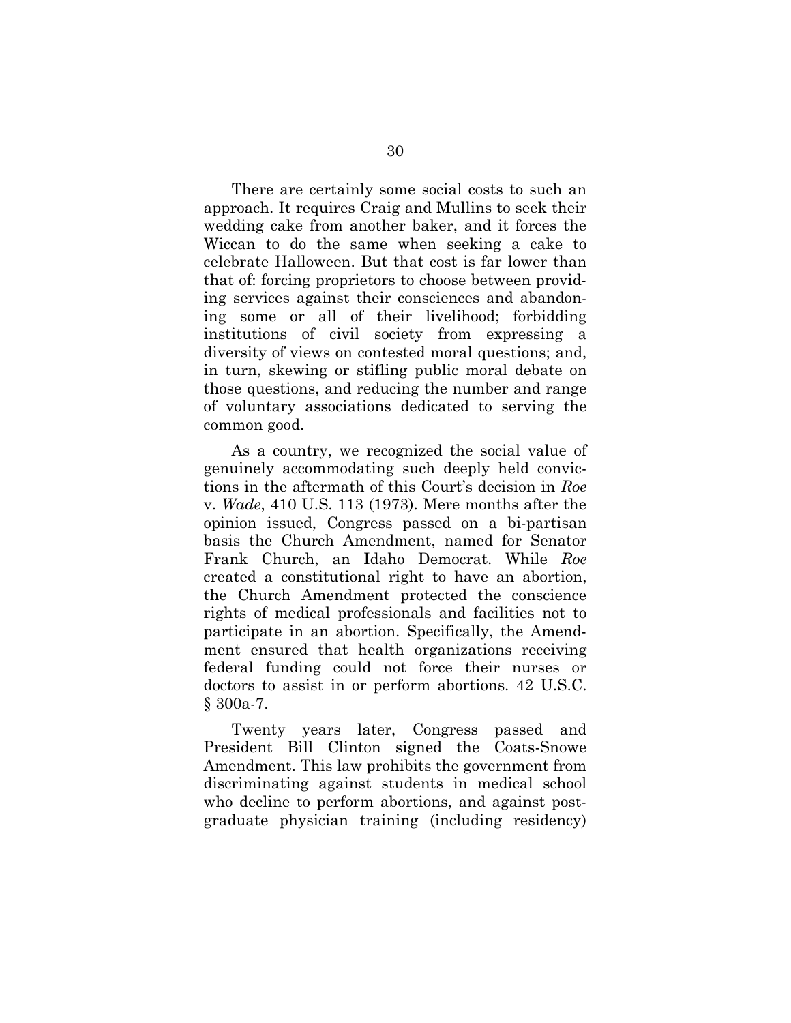There are certainly some social costs to such an approach. It requires Craig and Mullins to seek their wedding cake from another baker, and it forces the Wiccan to do the same when seeking a cake to celebrate Halloween. But that cost is far lower than that of: forcing proprietors to choose between providing services against their consciences and abandoning some or all of their livelihood; forbidding institutions of civil society from expressing a diversity of views on contested moral questions; and, in turn, skewing or stifling public moral debate on those questions, and reducing the number and range of voluntary associations dedicated to serving the common good.

As a country, we recognized the social value of genuinely accommodating such deeply held convictions in the aftermath of this Court's decision in *Roe*  v. *Wade*, 410 U.S. 113 (1973). Mere months after the opinion issued, Congress passed on a bi-partisan basis the Church Amendment, named for Senator Frank Church, an Idaho Democrat. While *Roe*  created a constitutional right to have an abortion, the Church Amendment protected the conscience rights of medical professionals and facilities not to participate in an abortion. Specifically, the Amendment ensured that health organizations receiving federal funding could not force their nurses or doctors to assist in or perform abortions. 42 U.S.C. § 300a-7.

<span id="page-37-0"></span>Twenty years later, Congress passed and President Bill Clinton signed the Coats-Snowe Amendment. This law prohibits the government from discriminating against students in medical school who decline to perform abortions, and against postgraduate physician training (including residency)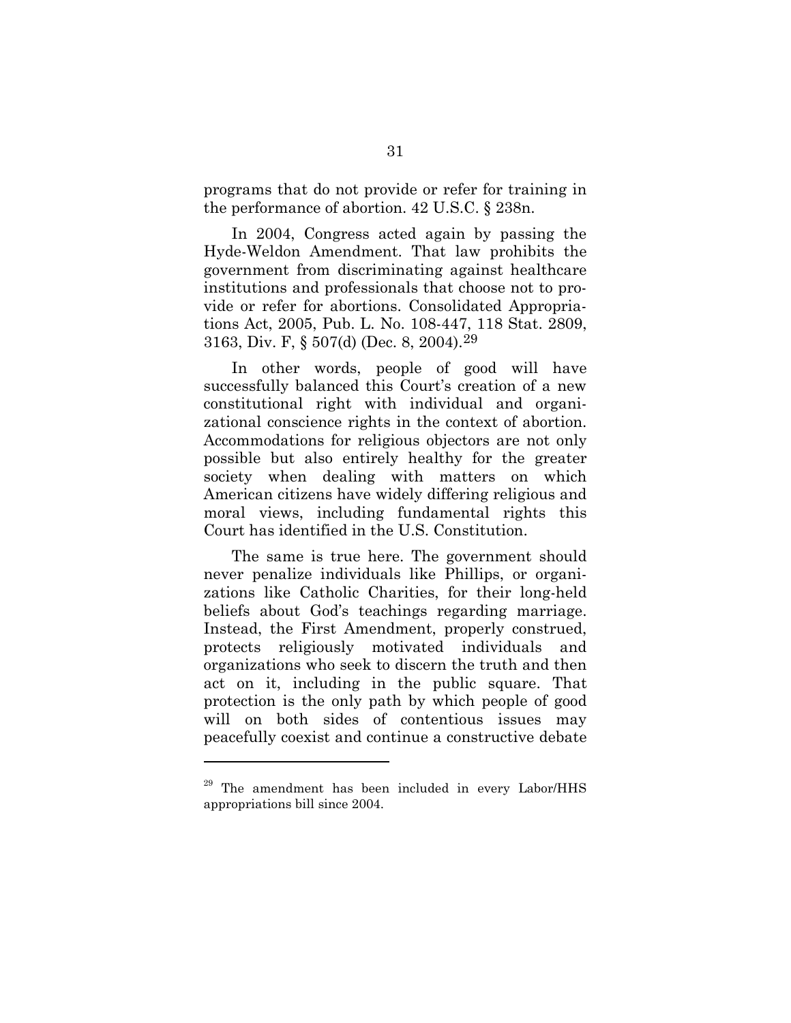programs that do not provide or refer for training in the performance of abortion. 42 U.S.C. § 238n.

In 2004, Congress acted again by passing the Hyde-Weldon Amendment. That law prohibits the government from discriminating against healthcare institutions and professionals that choose not to provide or refer for abortions. Consolidated Appropriations Act, 2005, Pub. L. No. 108-447, 118 Stat. 2809, 3163, Div. F, § 507(d) (Dec. 8, 2004).[29](#page-40-1)

In other words, people of good will have successfully balanced this Court's creation of a new constitutional right with individual and organizational conscience rights in the context of abortion. Accommodations for religious objectors are not only possible but also entirely healthy for the greater society when dealing with matters on which American citizens have widely differing religious and moral views, including fundamental rights this Court has identified in the U.S. Constitution.

The same is true here. The government should never penalize individuals like Phillips, or organizations like Catholic Charities, for their long-held beliefs about God's teachings regarding marriage. Instead, the First Amendment, properly construed, protects religiously motivated individuals and organizations who seek to discern the truth and then act on it, including in the public square. That protection is the only path by which people of good will on both sides of contentious issues may peacefully coexist and continue a constructive debate

The amendment has been included in every Labor/HHS appropriations bill since 2004.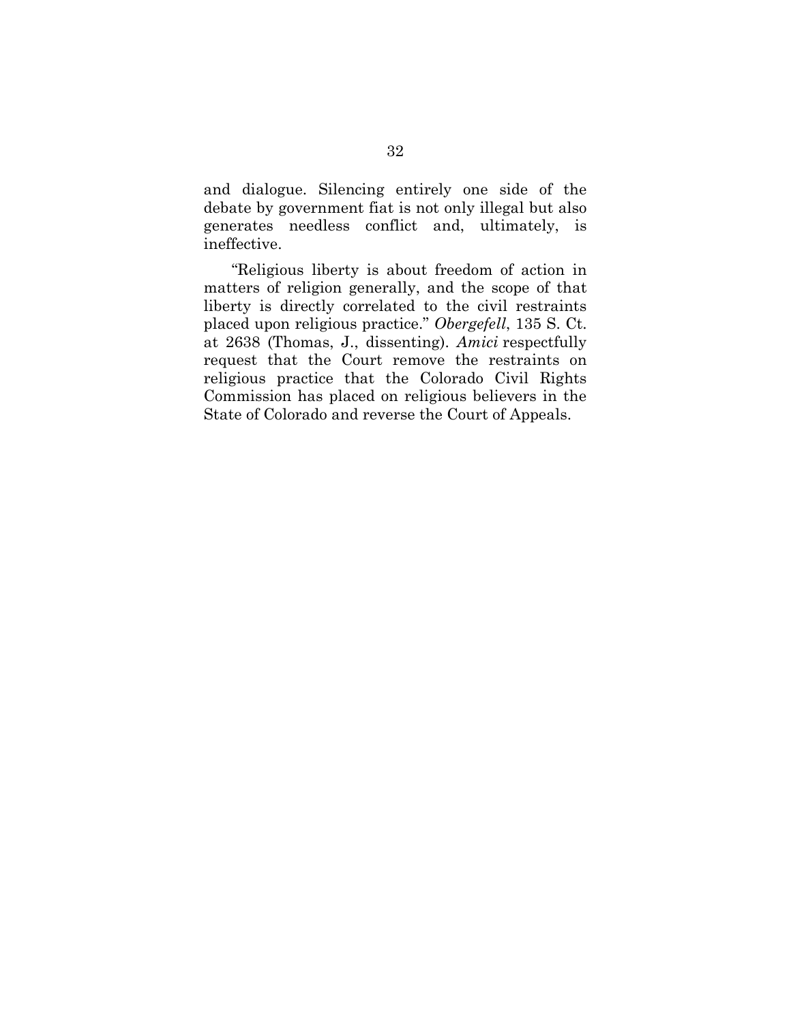and dialogue. Silencing entirely one side of the debate by government fiat is not only illegal but also generates needless conflict and, ultimately, is ineffective.

"Religious liberty is about freedom of action in matters of religion generally, and the scope of that liberty is directly correlated to the civil restraints placed upon religious practice." *Obergefell*, 135 S. Ct. at 2638 (Thomas, J., dissenting). *Amici* respectfully request that the Court remove the restraints on religious practice that the Colorado Civil Rights Commission has placed on religious believers in the State of Colorado and reverse the Court of Appeals.